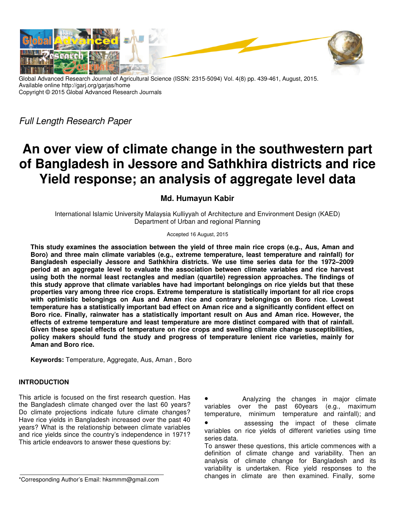

Global Advanced Research Journal of Agricultural Science (ISSN: 2315-5094) Vol. 4(8) pp. 439-461, August, 2015. Available online http://garj.org/garjas/home Copyright © 2015 Global Advanced Research Journals

Full Length Research Paper

# **An over view of climate change in the southwestern part of Bangladesh in Jessore and Sathkhira districts and rice Yield response; an analysis of aggregate level data**

# **Md. Humayun Kabir**

International Islamic University Malaysia Kulliyyah of Architecture and Environment Design (KAED) Department of Urban and regional Planning

#### Accepted 16 August, 2015

**This study examines the association between the yield of three main rice crops (e.g., Aus, Aman and Boro) and three main climate variables (e.g., extreme temperature, least temperature and rainfall) for Bangladesh especially Jessore and Sathkhira districts. We use time series data for the 1972–2009 period at an aggregate level to evaluate the association between climate variables and rice harvest using both the normal least rectangles and median (quartile) regression approaches. The findings of this study approve that climate variables have had important belongings on rice yields but that these properties vary among three rice crops. Extreme temperature is statistically important for all rice crops with optimistic belongings on Aus and Aman rice and contrary belongings on Boro rice. Lowest temperature has a statistically important bad effect on Aman rice and a significantly confident effect on Boro rice. Finally, rainwater has a statistically important result on Aus and Aman rice. However, the effects of extreme temperature and least temperature are more distinct compared with that of rainfall. Given these special effects of temperature on rice crops and swelling climate change susceptibilities, policy makers should fund the study and progress of temperature lenient rice varieties, mainly for Aman and Boro rice.** 

**Keywords:** Temperature, Aggregate, Aus, Aman , Boro

## **INTRODUCTION**

This article is focused on the first research question. Has the Bangladesh climate changed over the last 60 years? Do climate projections indicate future climate changes? Have rice yields in Bangladesh increased over the past 40 years? What is the relationship between climate variables and rice yields since the country's independence in 1971? This article endeavors to answer these questions by:

\*Corresponding Author's Email: hksmmm@gmail.com

• Analyzing the changes in major climate variables over the past 60years (e.g., maximum temperature, minimum temperature and rainfall); and

To answer these questions, this article commences with a definition of climate change and variability. Then an analysis of climate change for Bangladesh and its variability is undertaken. Rice yield responses to the changes in climate are then examined. Finally, some

<sup>•</sup> assessing the impact of these climate variables on rice yields of different varieties using time series data.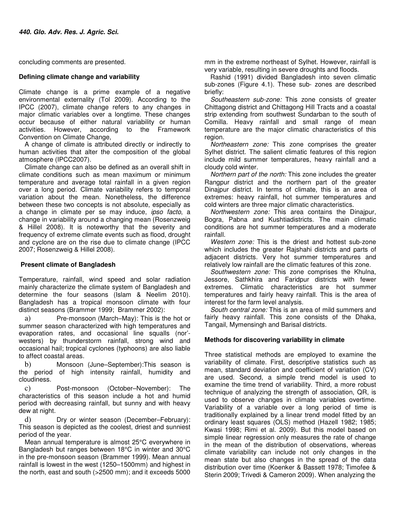concluding comments are presented.

#### **Defining climate change and variability**

Climate change is a prime example of a negative environmental externality (Tol 2009). According to the IPCC (2007), climate change refers to any changes in major climatic variables over a longtime. These changes occur because of either natural variability or human activities. However, according to the Framework Convention on Climate Change,

A change of climate is attributed directly or indirectly to human activities that alter the composition of the global atmosphere (IPCC2007).

Climate change can also be defined as an overall shift in climate conditions such as mean maximum or minimum temperature and average total rainfall in a given region over a long period. Climate variability refers to temporal variation about the mean. Nonetheless, the difference between these two concepts is not absolute, especially as a change in climate per se may induce, ipso facto, a change in variability around a changing mean (Rosenzweig & Hillel 2008). It is noteworthy that the severity and frequency of extreme climate events such as flood, drought and cyclone are on the rise due to climate change (IPCC 2007; Rosenzweig & Hillel 2008).

#### **Present climate of Bangladesh**

Temperature, rainfall, wind speed and solar radiation mainly characterize the climate system of Bangladesh and determine the four seasons (Islam & Neelim 2010). Bangladesh has a tropical monsoon climate with four distinct seasons (Brammer 1999; Brammer 2002):

a) Pre-monsoon (March–May): This is the hot or summer season characterized with high temperatures and evaporation rates, and occasional line squalls (nor' westers) by thunderstorm rainfall, strong wind and occasional hail; tropical cyclones (typhoons) are also liable to affect coastal areas.

b) Monsoon (June–September):This season is the period of high intensity rainfall, humidity and cloudiness.

c) Post-monsoon (October–November): The characteristics of this season include a hot and humid period with decreasing rainfall, but sunny and with heavy dew at night.

d) Dry or winter season (December–February): This season is depicted as the coolest, driest and sunniest period of the year.

Mean annual temperature is almost 25°C everywhere in Bangladesh but ranges between 18°C in winter and 30°C in the pre-monsoon season (Brammer 1999). Mean annual rainfall is lowest in the west (1250–1500mm) and highest in the north, east and south (>2500 mm); and it exceeds 5000

mm in the extreme northeast of Sylhet. However, rainfall is very variable, resulting in severe droughts and floods.

Rashid (1991) divided Bangladesh into seven climatic sub-zones (Figure 4.1). These sub- zones are described briefly:

Southeastern sub-zone: This zone consists of greater Chittagong district and Chittagong Hill Tracts and a coastal strip extending from southwest Sundarban to the south of Comilla. Heavy rainfall and small range of mean temperature are the major climatic characteristics of this region.

Northeastern zone: This zone comprises the greater Sylhet district. The salient climatic features of this region include mild summer temperatures, heavy rainfall and a cloudy cold winter.

Northern part of the north: This zone includes the greater Rangpur district and the northern part of the greater Dinajpur district. In terms of climate, this is an area of extremes: heavy rainfall, hot summer temperatures and cold winters are three major climatic characteristics.

Northwestern zone: This area contains the Dinajpur, Bogra, Pabna and Kushtiadistricts. The main climatic conditions are hot summer temperatures and a moderate rainfall.

Western zone: This is the driest and hottest sub-zone which includes the greater Rajshahi districts and parts of adjacent districts. Very hot summer temperatures and relatively low rainfall are the climatic features of this zone.

Southwestern zone: This zone comprises the Khulna, Jessore, Sathkhira and Faridpur districts with fewer extremes. Climatic characteristics are hot summer temperatures and fairly heavy rainfall. This is the area of interest for the farm level analysis.

South central zone: This is an area of mild summers and fairly heavy rainfall. This zone consists of the Dhaka, Tangail, Mymensingh and Barisal districts.

#### **Methods for discovering variability in climate**

Three statistical methods are employed to examine the variability of climate. First, descriptive statistics such as mean, standard deviation and coefficient of variation (CV) are used. Second, a simple trend model is used to examine the time trend of variability. Third, a more robust technique of analyzing the strength of association, QR, is used to observe changes in climate variables overtime. Variability of a variable over a long period of time is traditionally explained by a linear trend model fitted by an ordinary least squares (OLS) method (Hazell 1982; 1985; Kwasi 1998; Rimi et al. 2009). But this model based on simple linear regression only measures the rate of change in the mean of the distribution of observations, whereas climate variability can include not only changes in the mean state but also changes in the spread of the data distribution over time (Koenker & Bassett 1978; Timofee & Sterin 2009; Trivedi & Cameron 2009). When analyzing the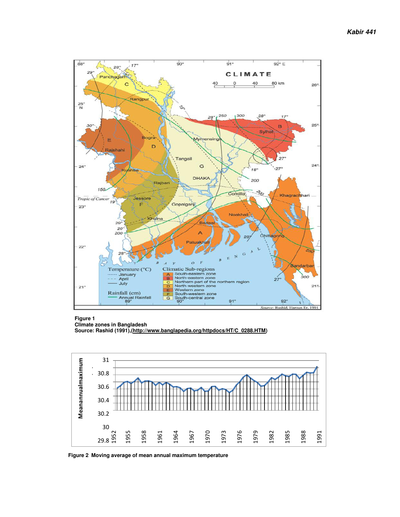

**Figure 1 Climate zones in Bangladesh Source: Rashid (1991),(http://www.banglapedia.org/httpdocs/HT/C\_0288.HTM)** 



 **Figure 2 Moving average of mean annual maximum temperature**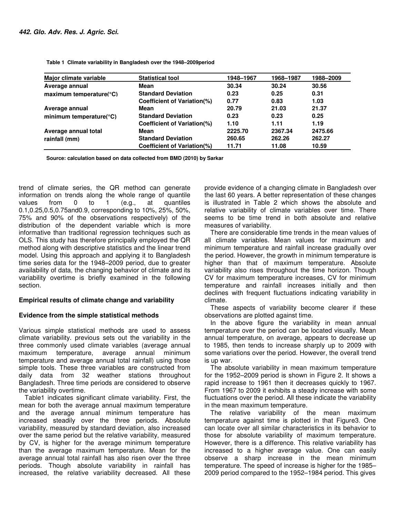| Major climate variable                | <b>Statistical tool</b>            | 1948-1967 | 1968–1987 | 1988-2009 |
|---------------------------------------|------------------------------------|-----------|-----------|-----------|
| Average annual                        | Mean                               | 30.34     | 30.24     | 30.56     |
| maximum temperature( $\textdegree$ C) | <b>Standard Deviation</b>          | 0.23      | 0.25      | 0.31      |
|                                       | Coefficient of Variation(%)        | 0.77      | 0.83      | 1.03      |
| Average annual                        | Mean                               | 20.79     | 21.03     | 21.37     |
| minimum temperature( $\degree$ C)     | <b>Standard Deviation</b>          | 0.23      | 0.23      | 0.25      |
|                                       | Coefficient of Variation(%)        | 1.10      | 1.11      | 1.19      |
| Average annual total                  | Mean                               | 2225.70   | 2367.34   | 2475.66   |
| rainfall (mm)                         | <b>Standard Deviation</b>          | 260.65    | 262.26    | 262.27    |
|                                       | <b>Coefficient of Variation(%)</b> | 11.71     | 11.08     | 10.59     |

 **Table 1 Climate variability in Bangladesh over the 1948–2009period** 

 **Source: calculation based on data collected from BMD (2010) by Sarkar** 

trend of climate series, the QR method can generate information on trends along the whole range of quantile values from 0 to 1 (e.g., at quantiles 0.1,0.25,0.5,0.75and0.9, corresponding to 10%, 25%, 50%, 75% and 90% of the observations respectively) of the distribution of the dependent variable which is more informative than traditional regression techniques such as OLS. This study has therefore principally employed the QR method along with descriptive statistics and the linear trend model. Using this approach and applying it to Bangladesh time series data for the 1948–2009 period, due to greater availability of data, the changing behavior of climate and its variability overtime is briefly examined in the following section.

#### **Empirical results of climate change and variability**

#### **Evidence from the simple statistical methods**

Various simple statistical methods are used to assess climate variability. previous sets out the variability in the three commonly used climate variables (average annual maximum temperature, average annual minimum temperature and average annual total rainfall) using those simple tools. These three variables are constructed from daily data from 32 weather stations throughout Bangladesh. Three time periods are considered to observe the variability overtime.

Table1 indicates significant climate variability. First, the mean for both the average annual maximum temperature and the average annual minimum temperature has increased steadily over the three periods. Absolute variability, measured by standard deviation, also increased over the same period but the relative variability, measured by CV, is higher for the average minimum temperature than the average maximum temperature. Mean for the average annual total rainfall has also risen over the three periods. Though absolute variability in rainfall has increased, the relative variability decreased. All these

provide evidence of a changing climate in Bangladesh over the last 60 years. A better representation of these changes is illustrated in Table 2 which shows the absolute and relative variability of climate variables over time. There seems to be time trend in both absolute and relative measures of variability.

There are considerable time trends in the mean values of all climate variables. Mean values for maximum and minimum temperature and rainfall increase gradually over the period. However, the growth in minimum temperature is higher than that of maximum temperature. Absolute variability also rises throughout the time horizon. Though CV for maximum temperature increases, CV for minimum temperature and rainfall increases initially and then declines with frequent fluctuations indicating variability in climate.

These aspects of variability become clearer if these observations are plotted against time.

In the above figure the variability in mean annual temperature over the period can be located visually. Mean annual temperature, on average, appears to decrease up to 1985, then tends to increase sharply up to 2009 with some variations over the period. However, the overall trend is up war.

The absolute variability in mean maximum temperature for the 1952–2009 period is shown in Figure 2. It shows a rapid increase to 1961 then it decreases quickly to 1967. From 1967 to 2009 it exhibits a steady increase with some fluctuations over the period. All these indicate the variability in the mean maximum temperature.

The relative variability of the mean maximum temperature against time is plotted in that Figure3. One can locate over all similar characteristics in its behavior to those for absolute variability of maximum temperature. However, there is a difference. This relative variability has increased to a higher average value. One can easily observe a sharp increase in the mean minimum temperature. The speed of increase is higher for the 1985– 2009 period compared to the 1952–1984 period. This gives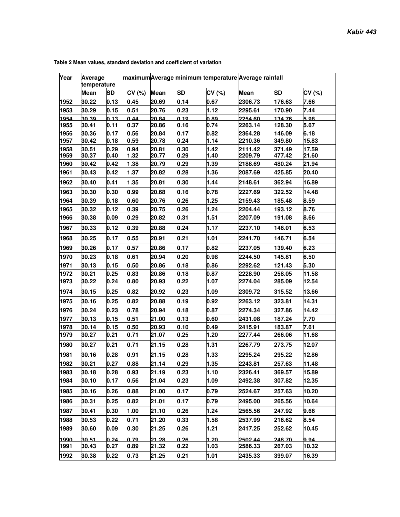| Year | Average<br>temperature |              |       |                |           |        | maximum Average minimum temperature Average rainfall |           |        |
|------|------------------------|--------------|-------|----------------|-----------|--------|------------------------------------------------------|-----------|--------|
|      | Mean                   | SD           | CV(%) | Mean           | <b>SD</b> | CV (%) | <b>Mean</b>                                          | <b>SD</b> | CV (%) |
| 1952 | 30.22                  | 0.13         | 0.45  | 20.69          | 0.14      | 0.67   | 2306.73                                              | 176.63    | 7.66   |
| 1953 | 30.29                  | 0.15         | 0.51  | 20.76          | 0.23      | 1.12   | 2295.61                                              | 170.90    | 7.44   |
| 1954 | 30.39                  | 0.13         | 0.44  | 20.84          | 0.19      | 0.89   | 2254.60                                              | 134.76    | 5.98   |
| 1955 | 30.41                  | 0.11         | 0.37  | 20.86          | 0.16      | 0.74   | 2263.14                                              | 128.30    | 5.67   |
| 1956 | 30.36                  | 0.17         | 0.56  | 20.84          | 0.17      | 0.82   | 2364.28                                              | 146.09    | 6.18   |
| 1957 | 30.42                  | 0.18         | 0.59  | 20.78          | 0.24      | 1.14   | 2210.36                                              | 349.80    | 15.83  |
| 1958 | 30.51                  | 0.29         | 0.94  | 20.81          | 0.30      | 1.42   | 2111.42                                              | 371.49    | 17.59  |
| 1959 | 30.37                  | 0.40<br>0.42 | 1.32  | 20.77<br>20.79 | 0.29      | 1.40   | 2209.79                                              | 477.42    | 21.60  |
| 1960 | 30.42                  |              | 1.38  |                | 0.29      | 1.39   | 2188.69                                              | 480.24    | 21.94  |
| 1961 | 30.43                  | 0.42         | 1.37  | 20.82          | 0.28      | 1.36   | 2087.69                                              | 425.85    | 20.40  |
| 1962 | 30.40                  | 0.41         | 1.35  | 20.81          | 0.30      | 1.44   | 2148.61                                              | 362.94    | 16.89  |
| 1963 | 30.30                  | 0.30         | 0.99  | 20.68          | 0.16      | 0.78   | 2227.69                                              | 322.52    | 14.48  |
| 1964 | 30.39                  | 0.18         | 0.60  | 20.76          | 0.26      | 1.25   | 2159.43                                              | 185.48    | 8.59   |
| 1965 | 30.32                  | 0.12         | 0.39  | 20.75          | 0.26      | 1.24   | 2204.44                                              | 193.12    | 8.76   |
| 1966 | 30.38                  | 0.09         | 0.29  | 20.82          | 0.31      | 1.51   | 2207.09                                              | 191.08    | 8.66   |
| 1967 | 30.33                  | 0.12         | 0.39  | 20.88          | 0.24      | 1.17   | 2237.10                                              | 146.01    | 6.53   |
| 1968 | 30.25                  | 0.17         | 0.55  | 20.91          | 0.21      | 1.01   | 2241.70                                              | 146.71    | 6.54   |
| 1969 | 30.26                  | 0.17         | 0.57  | 20.86          | 0.17      | 0.82   | 2237.05                                              | 139.40    | 6.23   |
| 1970 | 30.23                  | 0.18         | 0.61  | 20.94          | 0.20      | 0.98   | 2244.50                                              | 145.81    | 6.50   |
| 1971 | 30.13                  | 0.15         | 0.50  | 20.86          | 0.18      | 0.86   | 2292.62                                              | 121.43    | 5.30   |
| 1972 | 30.21                  | 0.25         | 0.83  | 20.86          | 0.18      | 0.87   | 2228.90                                              | 258.05    | 11.58  |
| 1973 | 30.22                  | 0.24         | 0.80  | 20.93          | 0.22      | 1.07   | 2274.04                                              | 285.09    | 12.54  |
| 1974 | 30.15                  | 0.25         | 0.82  | 20.92          | 0.23      | 1.09   | 2309.72                                              | 315.52    | 13.66  |
| 1975 | 30.16                  | 0.25         | 0.82  | 20.88          | 0.19      | 0.92   | 2263.12                                              | 323.81    | 14.31  |
| 1976 | 30.24                  | 0.23         | 0.78  | 20.94          | 0.18      | 0.87   | 2274.34                                              | 327.86    | 14.42  |
| 1977 | 30.13                  | 0.15         | 0.51  | 21.00          | 0.13      | 0.60   | 2431.08                                              | 187.24    | 7.70   |
| 1978 | 30.14                  | 0.15         | 0.50  | 20.93          | 0.10      | 0.49   | 2415.91                                              | 183.87    | 7.61   |
| 1979 | 30.27                  | 0.21         | 0.71  | 21.07          | 0.25      | 1.20   | 2277.44                                              | 266.06    | 11.68  |
| 1980 | 30.27                  | 0.21         | 0.71  | 21.15          | 0.28      | 1.31   | 2267.79                                              | 273.75    | 12.07  |
| 1981 | 30.16                  | 0.28         | 0.91  | 21.15          | 0.28      | 1.33   | 2295.24                                              | 295.22    | 12.86  |
| 1982 | 30.21                  | 0.27         | 0.88  | 21.14          | 0.29      | 1.35   | 2243.81                                              | 257.63    | 11.48  |
| 1983 | 30.18                  | 0.28         | 0.93  | 21.19          | 0.23      | 1.10   | 2326.41                                              | 369.57    | 15.89  |
| 1984 | 30.10                  | 0.17         | 0.56  | 21.04          | 0.23      | 1.09   | 2492.38                                              | 307.82    | 12.35  |
| 1985 | 30.16                  | 0.26         | 0.88  | 21.00          | 0.17      | 0.79   | 2524.67                                              | 257.63    | 10.20  |
| 1986 | 30.31                  | 0.25         | 0.82  | 21.01          | 0.17      | 0.79   | 2495.00                                              | 265.56    | 10.64  |
| 1987 | 30.41                  | 0.30         | 1.00  | 21.10          | 0.26      | 1.24   | 2565.56                                              | 247.92    | 9.66   |
| 1988 | 30.53                  | 0.22         | 0.71  | 21.20          | 0.33      | 1.58   | 2537.99                                              | 216.62    | 8.54   |
| 1989 | 30.60                  | 0.09         | 0.30  | 21.25          | 0.26      | 1.21   | 2417.25                                              | 252.62    | 10.45  |
| 1990 | 30.51                  | 0.24         | 0.79  | 21.28          | 0.26      | 1.20   | 2502.44                                              | 248.70    | 9.94   |
| 1991 | 30.43                  | 0.27         | 0.89  | 21.32          | 0.22      | 1.03   | 2586.33                                              | 267.03    | 10.32  |
| 1992 | 30.38                  | 0.22         | 0.73  | 21.25          | 0.21      | 1.01   | 2435.33                                              | 399.07    | 16.39  |

 **Table 2 Mean values, standard deviation and coefficient of variation**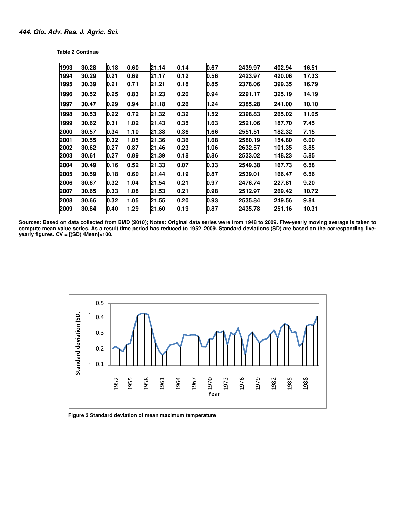**Table 2 Continue** 

| 1993 | 30.28 | 0.18 | 0.60 | 21.14 | 0.14 | 0.67 | 2439.97 | 402.94 | 16.51 |  |
|------|-------|------|------|-------|------|------|---------|--------|-------|--|
| 1994 | 30.29 | 0.21 | 0.69 | 21.17 | 0.12 | 0.56 | 2423.97 | 420.06 | 17.33 |  |
| 1995 | 30.39 | 0.21 | 0.71 | 21.21 | 0.18 | 0.85 | 2378.06 | 399.35 | 16.79 |  |
| 1996 | 30.52 | 0.25 | 0.83 | 21.23 | 0.20 | 0.94 | 2291.17 | 325.19 | 14.19 |  |
| 1997 | 30.47 | 0.29 | 0.94 | 21.18 | 0.26 | 1.24 | 2385.28 | 241.00 | 10.10 |  |
| 1998 | 30.53 | 0.22 | 0.72 | 21.32 | 0.32 | 1.52 | 2398.83 | 265.02 | 11.05 |  |
| 1999 | 30.62 | 0.31 | 1.02 | 21.43 | 0.35 | 1.63 | 2521.06 | 187.70 | 7.45  |  |
| 2000 | 30.57 | 0.34 | 1.10 | 21.38 | 0.36 | 1.66 | 2551.51 | 182.32 | 7.15  |  |
| 2001 | 30.55 | 0.32 | 1.05 | 21.36 | 0.36 | 1.68 | 2580.19 | 154.80 | 6.00  |  |
| 2002 | 30.62 | 0.27 | 0.87 | 21.46 | 0.23 | 1.06 | 2632.57 | 101.35 | 3.85  |  |
| 2003 | 30.61 | 0.27 | 0.89 | 21.39 | 0.18 | 0.86 | 2533.02 | 148.23 | 5.85  |  |
| 2004 | 30.49 | 0.16 | 0.52 | 21.33 | 0.07 | 0.33 | 2549.38 | 167.73 | 6.58  |  |
| 2005 | 30.59 | 0.18 | 0.60 | 21.44 | 0.19 | 0.87 | 2539.01 | 166.47 | 6.56  |  |
| 2006 | 30.67 | 0.32 | 1.04 | 21.54 | 0.21 | 0.97 | 2476.74 | 227.81 | 9.20  |  |
| 2007 | 30.65 | 0.33 | 1.08 | 21.53 | 0.21 | 0.98 | 2512.97 | 269.42 | 10.72 |  |
| 2008 | 30.66 | 0.32 | 1.05 | 21.55 | 0.20 | 0.93 | 2535.84 | 249.56 | 9.84  |  |
| 2009 | 30.84 | 0.40 | 1.29 | 21.60 | 0.19 | 0.87 | 2435.78 | 251.16 | 10.31 |  |
|      |       |      |      |       |      |      |         |        |       |  |

**Sources: Based on data collected from BMD (2010); Notes: Original data series were from 1948 to 2009. Five-yearly moving average is taken to compute mean value series. As a result time period has reduced to 1952–2009. Standard deviations (SD) are based on the corresponding fiveyearly figures. CV = [(SD) /Mean]×100.** 



 **Figure 3 Standard deviation of mean maximum temperature**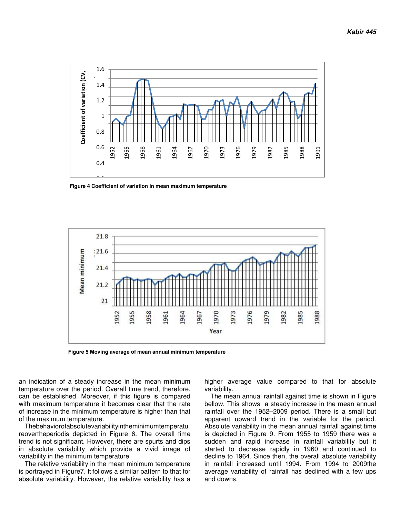

 **Figure 4 Coefficient of variation in mean maximum temperature** 



 **Figure 5 Moving average of mean annual minimum temperature** 

an indication of a steady increase in the mean minimum temperature over the period. Overall time trend, therefore, can be established. Moreover, if this figure is compared with maximum temperature it becomes clear that the rate of increase in the minimum temperature is higher than that of the maximum temperature.

Thebehaviorofabsolutevariabilityintheminimumtemperatu reovertheperiodis depicted in Figure 6. The overall time trend is not significant. However, there are spurts and dips in absolute variability which provide a vivid image of variability in the minimum temperature.

The relative variability in the mean minimum temperature is portrayed in Figure7. It follows a similar pattern to that for absolute variability. However, the relative variability has a

higher average value compared to that for absolute variability.

The mean annual rainfall against time is shown in Figure bellow. This shows a steady increase in the mean annual rainfall over the 1952–2009 period. There is a small but apparent upward trend in the variable for the period. Absolute variability in the mean annual rainfall against time is depicted in Figure 9. From 1955 to 1959 there was a sudden and rapid increase in rainfall variability but it started to decrease rapidly in 1960 and continued to decline to 1964. Since then, the overall absolute variability in rainfall increased until 1994. From 1994 to 2009the average variability of rainfall has declined with a few ups and downs.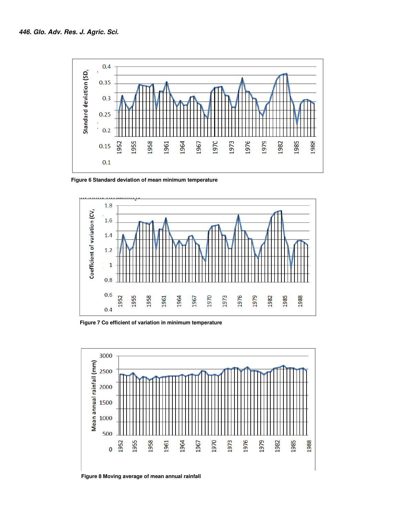

 **Figure 6 Standard deviation of mean minimum temperature** 



 **Figure 7 Co efficient of variation in minimum temperature** 



 **Figure 8 Moving average of mean annual rainfall**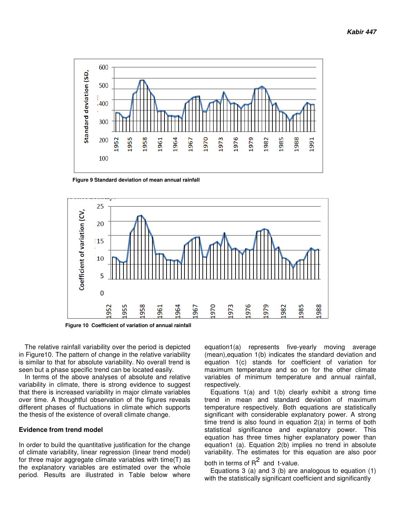

 **Figure 9 Standard deviation of mean annual rainfall** 



 **Figure 10 Coefficient of variation of annual rainfall** 

The relative rainfall variability over the period is depicted in Figure10. The pattern of change in the relative variability is similar to that for absolute variability. No overall trend is seen but a phase specific trend can be located easily.

In terms of the above analyses of absolute and relative variability in climate, there is strong evidence to suggest that there is increased variability in major climate variables over time. A thoughtful observation of the figures reveals different phases of fluctuations in climate which supports the thesis of the existence of overall climate change.

#### **Evidence from trend model**

In order to build the quantitative justification for the change of climate variability, linear regression (linear trend model) for three major aggregate climate variables with time(T) as the explanatory variables are estimated over the whole period. Results are illustrated in Table below where

equation1(a) represents five-yearly moving average (mean),equation 1(b) indicates the standard deviation and equation 1(c) stands for coefficient of variation for maximum temperature and so on for the other climate variables of minimum temperature and annual rainfall, respectively.

Equations 1(a) and 1(b) clearly exhibit a strong time trend in mean and standard deviation of maximum temperature respectively. Both equations are statistically significant with considerable explanatory power. A strong time trend is also found in equation 2(a) in terms of both statistical significance and explanatory power. This equation has three times higher explanatory power than equation1 (a). Equation 2(b) implies no trend in absolute variability. The estimates for this equation are also poor both in terms of  $R^2$  and t-value.

Equations 3 (a) and 3 (b) are analogous to equation  $(1)$ with the statistically significant coefficient and significantly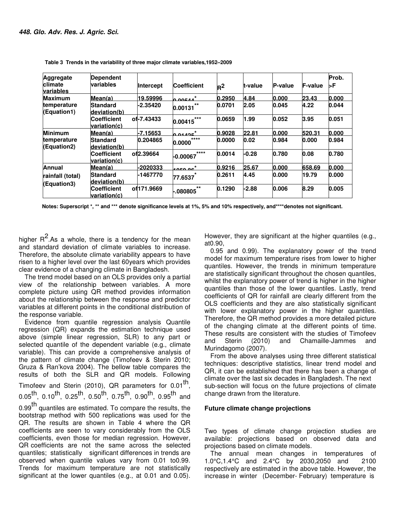| Aggregate<br>climate<br>variables | <b>Dependent</b><br><b>variables</b> | Intercept             | <b>Coefficient</b> | $R^2$  | t-value | <b>P-value</b> | <b>F-value</b> | Prob.<br>ЬF |
|-----------------------------------|--------------------------------------|-----------------------|--------------------|--------|---------|----------------|----------------|-------------|
| <b>Maximum</b>                    | Mean(a)                              | 19.59996              | <b>O OOEAA</b>     | 0.2950 | 4.84    | 0.000          | 23.43          | 0.000       |
| temperature<br>(Equation1)        | Standard<br>deviation(b)             | $-2.35420$            | $***$<br>0.00131   | 0.0701 | 2.05    | 0.045          | 4.22           | 0.044       |
|                                   | <b>Coefficient</b><br>variation(c)   | of-7.43433            | $***$<br>0.00415   | 0.0659 | 1.99    | 0.052          | 3.95           | 0.051       |
| <b>Minimum</b>                    | Mean(a)                              | <b>F7.15653</b>       | 0.0110F            | 0.9028 | 22.81   | 0.000          | 520.31         | 0.000       |
| temperature<br>(Equation2)        | <b>Standard</b><br>deviation(b)      | 0.204865              | $***$<br>0.0000    | 0.0000 | 0.02    | 0.984          | 0.000          | 0.984       |
|                                   | <b>Coefficient</b><br>variation(c)   | of <sub>2.39664</sub> | $***$<br>-0.00067  | 0.0014 | $-0.28$ | 0.780          | 0.08           | 0.780       |
| Annual                            | Mean(a)                              | -2020333              | 105000             | 0.9216 | 25.67   | 0.000          | 658.69         | 0.000       |
| rainfall (total)                  | Standard<br>deviation(b)             | -1467770              | 77.6537            | 0.2611 | 4.45    | 0.000          | 19.79          | 0.000       |
| (Equation3)                       | <b>Coefficient</b><br>variation(c)   | of 171.9669           | $***$<br>$-080805$ | 0.1290 | $-2.88$ | 0.006          | 8.29           | 0.005       |

 **Table 3 Trends in the variability of three major climate variables,1952–2009** 

 **Notes: Superscript \*, \*\* and \*\*\* denote significance levels at 1%, 5% and 10% respectively, and\*\*\*\*denotes not significant.** 

higher  $R^2$ . As a whole, there is a tendency for the mean and standard deviation of climate variables to increase. Therefore, the absolute climate variability appears to have risen to a higher level over the last 60years which provides clear evidence of a changing climate in Bangladesh.

The trend model based on an OLS provides only a partial view of the relationship between variables. A more complete picture using QR method provides information about the relationship between the response and predictor variables at different points in the conditional distribution of the response variable.

Evidence from quantile regression analysis Quantile regression (QR) expands the estimation technique used above (simple linear regression, SLR) to any part or selected quantile of the dependent variable (e.g., climate variable). This can provide a comprehensive analysis of the pattern of climate change (Timofeev & Sterin 2010; Gruza & Ran'kova 2004). The bellow table compares the results of both the SLR and QR models. Following Timofeev and Sterin (2010), QR parameters for 0.01<sup>th</sup>,  $0.05$ <sup>th</sup>,  $0.10$ <sup>th</sup>,  $0.25$ <sup>th</sup>,  $0.50$ <sup>th</sup>,  $0.75$ <sup>th</sup>,  $0.90$ <sup>th</sup>,  $0.95$ <sup>th</sup> and 0.99<sup>th</sup> quantiles are estimated. To compare the results, the bootstrap method with 500 replications was used for the QR. The results are shown in Table 4 where the QR coefficients are seen to vary considerably from the OLS coefficients, even those for median regression. However, QR coefficients are not the same across the selected quantiles; statistically significant differences in trends are observed when quantile values vary from 0.01 to0.99. Trends for maximum temperature are not statistically significant at the lower quantiles (e.g., at 0.01 and 0.05).

However, they are significant at the higher quantiles (e.g., at0.90,

0.95 and 0.99). The explanatory power of the trend model for maximum temperature rises from lower to higher quantiles. However, the trends in minimum temperature are statistically significant throughout the chosen quantiles, whilst the explanatory power of trend is higher in the higher quantiles than those of the lower quantiles. Lastly, trend coefficients of QR for rainfall are clearly different from the OLS coefficients and they are also statistically significant with lower explanatory power in the higher quantiles. Therefore, the QR method provides a more detailed picture of the changing climate at the different points of time. These results are consistent with the studies of Timofeev and Sterin (2010) and Chamaille-Jammes and Murindagomo (2007).

From the above analyses using three different statistical techniques: descriptive statistics, linear trend model and QR, it can be established that there has been a change of climate over the last six decades in Bangladesh. The next sub-section will focus on the future projections of climate change drawn from the literature.

#### **Future climate change projections**

Two types of climate change projection studies are available: projections based on observed data and projections based on climate models.

The annual mean changes in temperatures of 1.0°C,1.4°C and 2.4°C by 2030,2050 and 2100 respectively are estimated in the above table. However, the increase in winter (December- February) temperature is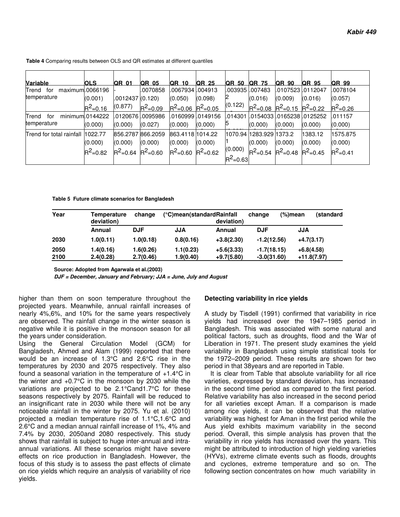| Variable                        | <b>OLS</b>      | <b>QR 01</b>            | <b>IQR 05</b> | <b>IQR 10</b>             | QR 25   | <b>QR 50</b>     | <b>QR 75</b>                        | <b>QR 90</b>      | <b>QR 95</b> | <b>QR 99</b> |
|---------------------------------|-----------------|-------------------------|---------------|---------------------------|---------|------------------|-------------------------------------|-------------------|--------------|--------------|
| Trend<br>maximum.0066196<br>for |                 |                         | .0070858      |                           |         | .003935 I.007483 |                                     | .01075231.0112047 |              | .0078104     |
| temperature                     | (0.001)         | .0012437 (0.120)        |               | (0.050)                   | (0.098) |                  | (0.016)                             | (0.009)           | (0.016)      | (0.057)      |
|                                 | $R^2 = 0.16$    | (0.877)                 | $R^2 = 0.09$  | $R^2 = 0.06$ $R^2 = 0.05$ |         | (0.122)          | $R^2$ =0.08 $R^2$ =0.15 $R^2$ =0.22 |                   |              | $R^2 = 0.26$ |
| Trend<br>for                    | minimum.0144222 |                         |               | .0160999 .0149156         |         | .014301          | 1.01540331.01652381.0125252         |                   |              | .011157      |
| temperature                     | (0.000)         | (0.000)                 | (0.027)       | (0.000)                   | (0.000) | ь                | (0.000)                             | (0.000)           | (0.000)      | (0.000)      |
| Trend for total rainfall        | 1022.77         | 856,2787                | 866.2059      | 863.4118 1014.22          |         | 1070.94          | 1283.929 1373.2                     |                   | 1383.12      | 1575.875     |
|                                 | (0.000)         | (0.000)                 | (0.000)       | (0.000)                   | (0.000) |                  | (0.000)                             | (0.000)           | (0.000)      | (0.000)      |
|                                 | $R^2 = 0.82$    | $R^2$ =0.64 $R^2$ =0.60 |               | $R^2$ =0.60 $R^2$ =0.62   |         | (0.000)          | $R^2$ =0.54 $R^2$ =0.48 $R^2$ =0.45 |                   |              | $R^2 = 0.41$ |
|                                 |                 |                         |               |                           |         | $R^2 = 0.63$     |                                     |                   |              |              |

 **Table 4** Comparing results between OLS and QR estimates at different quantiles

 **Table 5 Future climate scenarios for Bangladesh** 

| Year | Temperature<br>deviation) | (°C)mean(standardRainfall)<br>change<br>deviation) |           |              | change        | (standard<br>(%)mean |               |
|------|---------------------------|----------------------------------------------------|-----------|--------------|---------------|----------------------|---------------|
|      | Annual                    | <b>DJF</b>                                         | JJA       | Annual       | <b>DJF</b>    | JJA                  |               |
| 2030 | 1.0(0.11)                 | 1.0(0.18)                                          | 0.8(0.16) | $+3.8(2.30)$ | $-1.2(12.56)$ |                      | $+4.7(3.17)$  |
| 2050 | 1.4(0.16)                 | 1.6(0.26)                                          | 1.1(0.23) | $+5.6(3.33)$ | $-1.7(18.15)$ |                      | $+6.8(4.58)$  |
| 2100 | 2.4(0.28)                 | 2.7(0.46)                                          | 1.9(0.40) | $+9.7(5.80)$ | $-3.0(31.60)$ |                      | $+11.8(7.97)$ |

**Source: Adopted from Agarwala et al.(2003)** 

**DJF = December, January and February; JJA = June, July and August**

higher than them on soon temperature throughout the projected years. Meanwhile, annual rainfall increases of nearly 4%,6%, and 10% for the same years respectively are observed. The rainfall change in the winter season is negative while it is positive in the monsoon season for all the years under consideration.

Using the General Circulation Model (GCM) for Bangladesh, Ahmed and Alam (1999) reported that there would be an increase of 1.3°C and 2.6°C rise in the temperatures by 2030 and 2075 respectively. They also found a seasonal variation in the temperature of  $+1.4$ °C in the winter and +0.7°C in the monsoon by 2030 while the variations are projected to be 2.1°Cand1.7°C for these seasons respectively by 2075. Rainfall will be reduced to an insignificant rate in 2030 while there will not be any noticeable rainfall in the winter by 2075. Yu et al. (2010) projected a median temperature rise of 1.1°C,1.6°C and 2.6°C and a median annual rainfall increase of 1%, 4% and 7.4% by 2030, 2050and 2080 respectively. This study shows that rainfall is subject to huge inter-annual and intraannual variations. All these scenarios might have severe effects on rice production in Bangladesh. However, the focus of this study is to assess the past effects of climate on rice yields which require an analysis of variability of rice yields.

#### **Detecting variability in rice yields**

A study by Tisdell (1991) confirmed that variability in rice yields had increased over the 1947–1985 period in Bangladesh. This was associated with some natural and political factors, such as droughts, flood and the War of Liberation in 1971. The present study examines the yield variability in Bangladesh using simple statistical tools for the 1972–2009 period. These results are shown for two period in that 38years and are reported in Table.

It is clear from Table that absolute variability for all rice varieties, expressed by standard deviation, has increased in the second time period as compared to the first period. Relative variability has also increased in the second period for all varieties except Aman. If a comparison is made among rice yields, it can be observed that the relative variability was highest for Aman in the first period while the Aus yield exhibits maximum variability in the second period. Overall, this simple analysis has proven that the variability in rice yields has increased over the years. This might be attributed to introduction of high yielding varieties (HYVs), extreme climate events such as floods, droughts and cyclones, extreme temperature and so on. The following section concentrates on how much variability in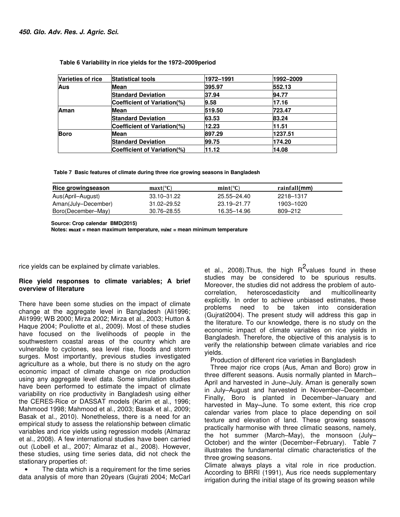| Varieties of rice | <b>Statistical tools</b>    | 1972-1991 | 1992–2009 |
|-------------------|-----------------------------|-----------|-----------|
| <b>Aus</b>        | Mean                        | 395.97    | 552.13    |
|                   | <b>Standard Deviation</b>   | 37.94     | 94.77     |
|                   | Coefficient of Variation(%) | 9.58      | 17.16     |
| <b>Aman</b>       | Mean                        | 519.50    | 723.47    |
|                   | <b>Standard Deviation</b>   | 63.53     | 83.24     |
|                   | Coefficient of Variation(%) | 12.23     | 11.51     |
| <b>Boro</b>       | Mean                        | 897.29    | 1237.51   |
|                   | <b>Standard Deviation</b>   | 99.75     | 174.20    |
|                   | Coefficient of Variation(%) | 11.12     | 14.08     |

#### **Table 6 Variability in rice yields for the 1972–2009period**

 **Table 7 Basic features of climate during three rice growing seasons in Bangladesh** 

| Rice growingseason  | $\textbf{maxt}(\mathcal{C})$ | mint(°C)    | rainfall(mm) |
|---------------------|------------------------------|-------------|--------------|
| Aus(April–August)   | 33.10-31.22                  | 25.55–24.40 | 2218-1317    |
| Aman(July-December) | $31.02 - 29.52$              | 23.19-21.77 | 1903–1020    |
| Boro(December-May)  | 30.76–28.55                  | 16.35–14.96 | 809-212      |

**Source: Crop calendar BMD(2015)** 

Notes:  $max =$  mean maximum temperature,  $min =$  mean minimum temperature

rice yields can be explained by climate variables.

#### **Rice yield responses to climate variables; A brief overview of literature**

There have been some studies on the impact of climate change at the aggregate level in Bangladesh (Ali1996; Ali1999; WB 2000; Mirza 2002; Mirza et al., 2003; Hutton & Haque 2004; Pouliotte et al., 2009). Most of these studies have focused on the livelihoods of people in the southwestern coastal areas of the country which are vulnerable to cyclones, sea level rise, floods and storm surges. Most importantly, previous studies investigated agriculture as a whole, but there is no study on the agro economic impact of climate change on rice production using any aggregate level data. Some simulation studies have been performed to estimate the impact of climate variability on rice productivity in Bangladesh using either the CERES-Rice or DASSAT models (Karim et al., 1996; Mahmood 1998; Mahmood et al., 2003; Basak et al., 2009; Basak et al., 2010). Nonetheless, there is a need for an empirical study to assess the relationship between climatic variables and rice yields using regression models (Almaraz et al., 2008). A few international studies have been carried out (Lobell et al., 2007; Almaraz et al., 2008). However, these studies, using time series data, did not check the stationary properties of:

The data which is a requirement for the time series data analysis of more than 20years (Gujrati 2004; McCarl

et al., 2008).Thus, the high  $R^2$ values found in these studies may be considered to be spurious results. Moreover, the studies did not address the problem of autocorrelation, heteroscedasticity and multicollinearity explicitly. In order to achieve unbiased estimates, these problems need to be taken into consideration (Gujrati2004). The present study will address this gap in the literature. To our knowledge, there is no study on the economic impact of climate variables on rice yields in Bangladesh. Therefore, the objective of this analysis is to verify the relationship between climate variables and rice yields.

Production of different rice varieties in Bangladesh

Three major rice crops (Aus, Aman and Boro) grow in three different seasons. Ausis normally planted in March– April and harvested in June–July. Aman is generally sown in July–August and harvested in November–December. Finally, Boro is planted in December–January and harvested in May–June. To some extent, this rice crop calendar varies from place to place depending on soil texture and elevation of land. These growing seasons practically harmonise with three climatic seasons, namely, the hot summer (March–May), the monsoon (July– October) and the winter (December–February). Table 7 illustrates the fundamental climatic characteristics of the three growing seasons.

Climate always plays a vital role in rice production. According to BRRI (1991), Aus rice needs supplementary irrigation during the initial stage of its growing season while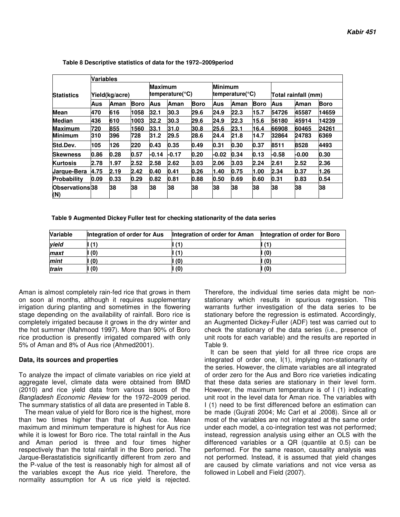|                        | <b>Variables</b> |      |             |         |                                                       |             |         |                                         |             |         |                     |       |  |
|------------------------|------------------|------|-------------|---------|-------------------------------------------------------|-------------|---------|-----------------------------------------|-------------|---------|---------------------|-------|--|
| <b>Statistics</b>      | Yield(kg/acre)   |      |             |         | <b>Maximum</b><br>temperature( $\mathrm{^{\circ}C}$ ) |             |         | Minimum<br>temperature( ${}^{\circ}$ C) |             |         | Total rainfall (mm) |       |  |
|                        | Aus              | Aman | <b>Boro</b> | Aus     | Aman                                                  | <b>Boro</b> | Aus     | Aman                                    | <b>Boro</b> | Aus     | Aman                | Boro  |  |
| <b>Mean</b>            | 470              | 616  | 1058        | 32.1    | 30.3                                                  | 29.6        | 24.9    | 22.3                                    | 15.7        | 54726   | 45587               | 14659 |  |
| <b>Median</b>          | 436              | 610  | 1003        | 32.2    | 30.3                                                  | 29.6        | 24.9    | 22.3                                    | 15.6        | 56180   | 45914               | 14239 |  |
| <u>Maximum</u>         | 720              | 855  | 1560        | 33.1    | 31.0                                                  | 30.8        | 25.6    | 23.1                                    | 16.4        | 66908   | 60465               | 24261 |  |
| <b>Minimum</b>         | 310              | 396  | 728         | 31.2    | 29.5                                                  | 28.6        | 24.4    | 21.8                                    | 14.7        | 32864   | 24783               | 6369  |  |
| Std.Dev.               | 105              | 126  | 220         | 0.43    | 0.35                                                  | 0.49        | 0.31    | 0.30                                    | 0.37        | 8511    | 8528                | 4493  |  |
| <b>Skewness</b>        | 0.86             | 0.28 | 0.57        | $-0.14$ | $-0.17$                                               | 0.20        | $-0.02$ | 0.34                                    | 0.13        | $-0.58$ | -0.00               | 0.30  |  |
| <b>Kurtosis</b>        | 2.78             | 1.97 | 2.52        | 2.58    | 2.62                                                  | 3.03        | 2.06    | 3.03                                    | 2.24        | 2.61    | 2.52                | 2.36  |  |
| <b>Jarque-Bera</b>     | 4.75             | 2.19 | 2.42        | 0.40    | 0.41                                                  | 0.26        | 1.40    | 0.75                                    | 1.00        | 2.34    | 0.37                | 1.26  |  |
| Probability            | 0.09             | 0.33 | 0.29        | 0.82    | 0.81                                                  | 0.88        | 0.50    | 0.69                                    | 0.60        | 0.31    | 0.83                | 0.54  |  |
| Observations 38<br>(N) |                  | 38   | 38          | 38      | 38                                                    | 38          | 38      | 38                                      | 38          | 38      | 38                  | 38    |  |

 **Table 8 Descriptive statistics of data for the 1972–2009period** 

 **Table 9 Augmented Dickey Fuller test for checking stationarity of the data series** 

| <b>Variable</b> | Integration of order for Aus | Integration of order for Aman | Integration of order for Boro |
|-----------------|------------------------------|-------------------------------|-------------------------------|
| vield           |                              | ll (1)                        |                               |
| maxt            | (0)                          | $\pm$ (1)                     | (0)                           |
| mint            | (0)                          | $\mathbf{I}(\mathbf{0})$      | (0)                           |
| train           | (0)                          | l (0)                         | (0)                           |

Aman is almost completely rain-fed rice that grows in them on soon al months, although it requires supplementary irrigation during planting and sometimes in the flowering stage depending on the availability of rainfall. Boro rice is completely irrigated because it grows in the dry winter and the hot summer (Mahmood 1997). More than 90% of Boro rice production is presently irrigated compared with only 5% of Aman and 8% of Aus rice (Ahmed2001).

#### **Data, its sources and properties**

To analyze the impact of climate variables on rice yield at aggregate level, climate data were obtained from BMD (2010) and rice yield data from various issues of the Bangladesh Economic Review for the 1972–2009 period. The summary statistics of all data are presented in Table 8.

The mean value of yield for Boro rice is the highest, more than two times higher than that of Aus rice. Mean maximum and minimum temperature is highest for Aus rice while it is lowest for Boro rice. The total rainfall in the Aus and Aman period is three and four times higher respectively than the total rainfall in the Boro period. The Jarque-Berastatisticis significantly different from zero and the P-value of the test is reasonably high for almost all of the variables except the Aus rice yield. Therefore, the normality assumption for A us rice yield is rejected.

Therefore, the individual time series data might be nonstationary which results in spurious regression. This warrants further investigation of the data series to be stationary before the regression is estimated. Accordingly, an Augmented Dickey-Fuller (ADF) test was carried out to check the stationary of the data series (i.e., presence of unit roots for each variable) and the results are reported in Table 9.

It can be seen that yield for all three rice crops are integrated of order one, I(1), implying non-stationarity of the series. However, the climate variables are all integrated of order zero for the Aus and Boro rice varieties indicating that these data series are stationary in their level form. However, the maximum temperature is of I (1) indicating unit root in the level data for Aman rice. The variables with I (1) need to be first differenced before an estimation can be made (Gujrati 2004; Mc Carl et al .2008). Since all or most of the variables are not integrated at the same order under each model, a co-integration test was not performed; instead, regression analysis using either an OLS with the differenced variables or a QR (quantile at 0.5) can be performed. For the same reason, causality analysis was not performed. Instead, it is assumed that yield changes are caused by climate variations and not vice versa as followed in Lobell and Field (2007).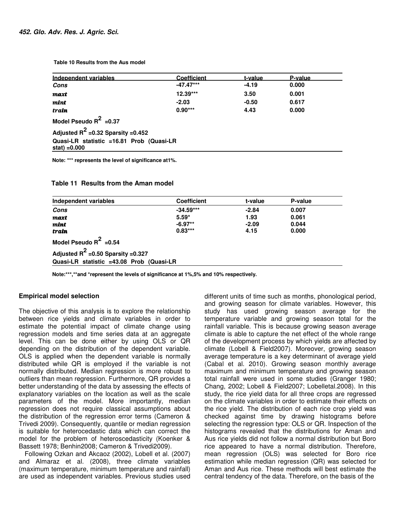**Table 10 Results from the Aus model** 

 **Note: \*\*\* represents the level of significance at1%.** 

|  | Table 11 Results from the Aman model |  |
|--|--------------------------------------|--|
|--|--------------------------------------|--|

| <b>Independent variables</b>             | <b>Coefficient</b> | t-value | P-value |  |  |  |
|------------------------------------------|--------------------|---------|---------|--|--|--|
| Cons                                     | $-34.59***$        | $-2.84$ | 0.007   |  |  |  |
| maxt                                     | $5.59*$            | 1.93    | 0.061   |  |  |  |
| mint                                     | $-6.97**$          | $-2.09$ | 0.044   |  |  |  |
| train                                    | $0.83***$          | 4.15    | 0.000   |  |  |  |
| Model Pseudo $R^2$ =0.54                 |                    |         |         |  |  |  |
| Adjusted $R^2$ =0.50 Sparsity =0.327     |                    |         |         |  |  |  |
| Quasi-LR statistic =43.08 Prob (Quasi-LR |                    |         |         |  |  |  |

 **Note:\*\*\*,\*\*and \*represent the levels of significance at 1%,5% and 10% respectively.** 

#### **Empirical model selection**

The objective of this analysis is to explore the relationship between rice yields and climate variables in order to estimate the potential impact of climate change using regression models and time series data at an aggregate level. This can be done either by using OLS or QR depending on the distribution of the dependent variable. OLS is applied when the dependent variable is normally distributed while QR is employed if the variable is not normally distributed. Median regression is more robust to outliers than mean regression. Furthermore, QR provides a better understanding of the data by assessing the effects of explanatory variables on the location as well as the scale parameters of the model. More importantly, median regression does not require classical assumptions about the distribution of the regression error terms (Cameron & Trivedi 2009). Consequently, quantile or median regression is suitable for heterocedastic data which can correct the model for the problem of heteroscedasticity (Koenker & Bassett 1978; Benhin2008; Cameron & Trivedi2009).

Following Ozkan and Akcaoz (2002), Lobell et al. (2007) and Almaraz et al. (2008), three climate variables (maximum temperature, minimum temperature and rainfall) are used as independent variables. Previous studies used

different units of time such as months, phonological period, and growing season for climate variables. However, this study has used growing season average for the temperature variable and growing season total for the rainfall variable. This is because growing season average climate is able to capture the net effect of the whole range of the development process by which yields are affected by climate (Lobell & Field2007). Moreover, growing season average temperature is a key determinant of average yield (Cabal et al. 2010). Growing season monthly average maximum and minimum temperature and growing season total rainfall were used in some studies (Granger 1980; Chang, 2002; Lobell & Field2007; Lobelletal.2008). In this study, the rice yield data for all three crops are regressed on the climate variables in order to estimate their effects on the rice yield. The distribution of each rice crop yield was checked against time by drawing histograms before selecting the regression type: OLS or QR. Inspection of the histograms revealed that the distributions for Aman and Aus rice yields did not follow a normal distribution but Boro rice appeared to have a normal distribution. Therefore, mean regression (OLS) was selected for Boro rice estimation while median regression (QR) was selected for Aman and Aus rice. These methods will best estimate the central tendency of the data. Therefore, on the basis of the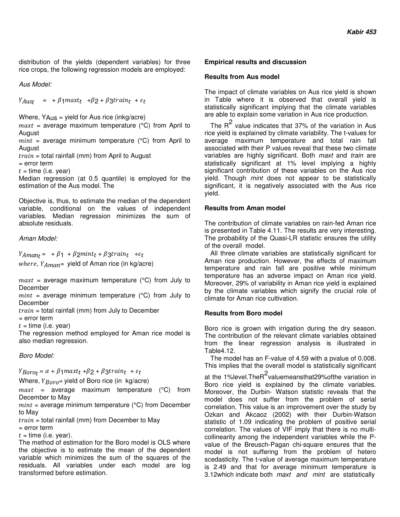distribution of the yields (dependent variables) for three rice crops, the following regression models are employed:

Aus Model:

 $Y_{Aust}$  = +  $\beta$ 1 $maxt$  +  $\beta$ 2 +  $\beta$ 3 $train$  +  $\varepsilon$ t

Where, YAus = yield for Aus rice (inkg/acre)

 $maxt = average$  maximum temperature (°C) from April to August

 $mint = average minimum temperature (°C) from April to$ August

 $train = total$  rainfall (mm) from April to August

= error term

 $t =$  time (i.e. year)

Median regression (at 0.5 quantile) is employed for the estimation of the Aus model. The

Objective is, thus, to estimate the median of the dependent variable, conditional on the values of independent variables. Median regression minimizes the sum of absolute residuals.

Aman Model:

 $Y_{A}$ man $_{t}$ = +  $\beta$ 1 +  $\beta$ 2 $mint_{t}$  +  $\beta$ 3 $train_{t}$  + $\varepsilon_{t}$ where,  $Y_{Aman}$ = yield of Aman rice (in kg/acre)

 $maxt$  = average maximum temperature (°C) from July to December

 $mint = average minimum temperature (°C) from July to$ December

 $train = total$  rainfall (mm) from July to December

= error term

 $t =$  time (i.e. year)

The regression method employed for Aman rice model is also median regression.

Boro Model:

 $Y_{\text{Boro}t} = \alpha + \beta_1 \text{max}t_t + \beta_2 + \beta_3 \text{train}_{t} + \varepsilon_t$ 

Where,  $Y_{\text{Boro}}$  yield of Boro rice (in kg/acre)

 $maxt = average maximum temperature (°C) from$ December to May

 $mint = average minimum temperature (°C) from December$ to May

 $train = total$  rainfall (mm) from December to May

= error term

 $t =$  time (i.e. year).

The method of estimation for the Boro model is OLS where the objective is to estimate the mean of the dependent variable which minimizes the sum of the squares of the residuals. All variables under each model are log transformed before estimation.

#### **Empirical results and discussion**

#### **Results from Aus model**

The impact of climate variables on Aus rice yield is shown in Table where it is observed that overall yield is statistically significant implying that the climate variables are able to explain some variation in Aus rice production.

The  $R^2$  value indicates that 37% of the variation in Aus rice yield is explained by climate variability. The t-values for average maximum temperature and total rain fall associated with their P values reveal that these two climate variables are highly significant. Both *maxt* and *train* are statistically significant at 1% level implying a highly significant contribution of these variables on the Aus rice yield. Though mint does not appear to be statistically significant, it is negatively associated with the Aus rice yield.

#### **Results from Aman model**

The contribution of climate variables on rain-fed Aman rice is presented in Table 4.11. The results are very interesting. The probability of the Quasi-LR statistic ensures the utility of the overall model.

All three climate variables are statistically significant for Aman rice production. However, the effects of maximum temperature and rain fall are positive while minimum temperature has an adverse impact on Aman rice yield. Moreover, 29% of variability in Aman rice yield is explained by the climate variables which signify the crucial role of climate for Aman rice cultivation.

## **Results from Boro model**

Boro rice is grown with irrigation during the dry season. The contribution of the relevant climate variables obtained from the linear regression analysis is illustrated in Table4.12.

The model has an F-value of 4.59 with a pvalue of 0.008. This implies that the overall model is statistically significant

at the 1%level.TheR<sup>2</sup>valuemeansthat29%ofthe variation in Boro rice yield is explained by the climate variables. Moreover, the Durbin- Watson statistic reveals that the model does not suffer from the problem of serial correlation. This value is an improvement over the study by Ozkan and Akcaoz (2002) with their Durbin-Watson statistic of 1.09 indicating the problem of positive serial correlation. The values of VIF imply that there is no multicollinearity among the independent variables while the Pvalue of the Breusch-Pagan chi-square ensures that the model is not suffering from the problem of hetero scedasticity. The t-value of average maximum temperature is 2.49 and that for average minimum temperature is 3.12which indicate both maxt and mint are statistically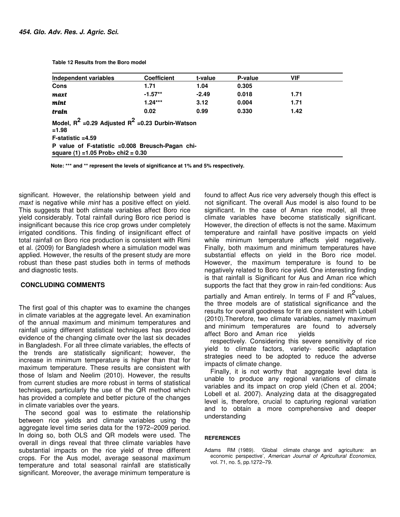#### **Table 12 Results from the Boro model**

| Independent variables                                                                                                                                                                 | <b>Coefficient</b> | t-value | P-value | <b>VIF</b> |  |  |
|---------------------------------------------------------------------------------------------------------------------------------------------------------------------------------------|--------------------|---------|---------|------------|--|--|
| Cons                                                                                                                                                                                  | 1.71               | 1.04    | 0.305   |            |  |  |
| maxt                                                                                                                                                                                  | $-1.57**$          | $-2.49$ | 0.018   | 1.71       |  |  |
| mint                                                                                                                                                                                  | $1.24***$          | 3.12    | 0.004   | 1.71       |  |  |
| train                                                                                                                                                                                 | 0.02               | 0.99    | 0.330   | 1.42       |  |  |
| Model, $R^2$ =0.29 Adjusted $R^2$ =0.23 Durbin-Watson<br>$=1.98$<br>$F$ -statistic =4.59<br>P value of F-statistic =0.008 Breusch-Pagan chi-<br>square $(1) = 1.05$ Prob> chi2 = 0.30 |                    |         |         |            |  |  |

 **Note: \*\*\* and \*\* represent the levels of significance at 1% and 5% respectively.**

significant. However, the relationship between yield and maxt is negative while mint has a positive effect on yield. This suggests that both climate variables affect Boro rice yield considerably. Total rainfall during Boro rice period is insignificant because this rice crop grows under completely irrigated conditions. This finding of insignificant effect of total rainfall on Boro rice production is consistent with Rimi et al. (2009) for Bangladesh where a simulation model was applied. However, the results of the present study are more robust than these past studies both in terms of methods and diagnostic tests.

#### **CONCLUDING COMMENTS**

The first goal of this chapter was to examine the changes in climate variables at the aggregate level. An examination of the annual maximum and minimum temperatures and rainfall using different statistical techniques has provided evidence of the changing climate over the last six decades in Bangladesh. For all three climate variables, the effects of the trends are statistically significant; however, the increase in minimum temperature is higher than that for maximum temperature. These results are consistent with those of Islam and Neelim (2010). However, the results from current studies are more robust in terms of statistical techniques, particularly the use of the QR method which has provided a complete and better picture of the changes in climate variables over the years.

The second goal was to estimate the relationship between rice yields and climate variables using the aggregate level time series data for the 1972–2009 period. In doing so, both OLS and QR models were used. The overall in dings reveal that three climate variables have substantial impacts on the rice yield of three different crops. For the Aus model, average seasonal maximum temperature and total seasonal rainfall are statistically significant. Moreover, the average minimum temperature is

found to affect Aus rice very adversely though this effect is not significant. The overall Aus model is also found to be significant. In the case of Aman rice model, all three climate variables have become statistically significant. However, the direction of effects is not the same. Maximum temperature and rainfall have positive impacts on yield while minimum temperature affects yield negatively. Finally, both maximum and minimum temperatures have substantial effects on yield in the Boro rice model. However, the maximum temperature is found to be negatively related to Boro rice yield. One interesting finding is that rainfall is Significant for Aus and Aman rice which supports the fact that they grow in rain-fed conditions: Aus

partially and Aman entirely. In terms of F and R<sup>2</sup>values, the three models are of statistical significance and the results for overall goodness for fit are consistent with Lobell (2010).Therefore, two climate variables, namely maximum and minimum temperatures are found to adversely affect Boro and Aman rice yields

respectively. Considering this severe sensitivity of rice yield to climate factors, variety- specific adaptation strategies need to be adopted to reduce the adverse impacts of climate change.

Finally, it is not worthy that aggregate level data is unable to produce any regional variations of climate variables and its impact on crop yield (Chen et al. 2004; Lobell et al. 2007). Analyzing data at the disaggregated level is, therefore, crucial to capturing regional variation and to obtain a more comprehensive and deeper understanding

#### **REFERENCES**

Adams RM (1989). 'Global climate change and agriculture: an economic perspective', American Journal of Agricultural Economics, vol. 71, no. 5, pp.1272–79.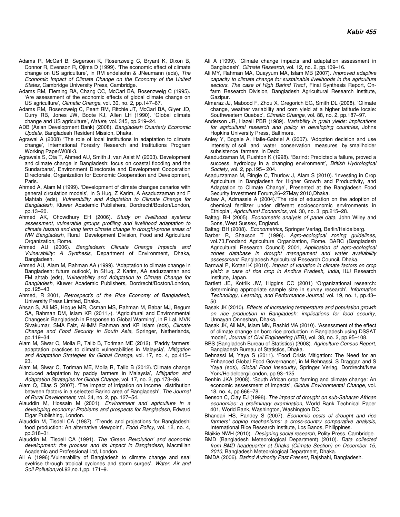- Adams R, McCarl B, Segerson K, Rosenzweig C, Bryant K, Dixon B, Connor R, Evenson R, Ojima D (1999). 'The economic effect of climate change on US agriculture', in RM endelsohn & JNeumann (eds), The Economic Impact of Climate Change on the Economy of the United States, Cambridge University Press, Cambridge.
- Adams RM, Fleming RA, Chang CC, McCarl BA, Rosenzweig C (1995). 'Are assessment of the economic effects of global climate change on US agriculture', Climatic Change, vol. 30, no. 2, pp.147–67.
- Adams RM, Rosenzweig C, Peart RM, Ritchie JT, McCarl BA, Glyer JD, Curry RB, Jones JW, Boote KJ, Allen LH (1990). 'Global climate change and US agriculture', Nature, vol. 345, pp.219–24.
- ADB (Asian Development Bank) (2008). Bangladesh Quarterly Economic Update, Bangladesh Resident Mission, Dhaka.
- Agrawal A (2008) 'The role of local institutions in adaptation to climate change', International Forestry Research and Institutions Program Working PaperW08I-3.
- Agrawala S, Ota T, Ahmed AU, Smith J, van Aalst M (2003).'Development and climate change in Bangladesh: focus on coastal flooding and the Sundarbans', Environment Directorate and Development Cooperation Directorate, Organization for Economic Cooperation and Development, Paris.
- Ahmed A, Alam M (1999). 'Development of climate changes cenarios with general circulation models', in S Huq, Z Karim, A Asaduzzaman and F Mahtab (eds), Vulnerability and Adaptation to Climate Change for Bangladesh, Kluwer Academic Publishers, Dordrecht/Boston/London, pp.13–20.
- Ahmed AK, Chowdhury EH (2006). Study on livelihood systems assessment, vulnerable groups profiling and livelihood adaptation to climate hazard and long term climate change in drought-prone areas of NW Bangladesh, Rural Development Division, Food and Agriculture Organization, Rome.
- Ahmed AU (2006). Bangladesh: Climate Change Impacts and Vulnerability: A Synthesis, Department of Environment, Dhaka, Bangladesh.
- Ahmed AU, Alam M, Rahman AA (1999). 'Adaptation to climate change in Bangladesh: future outlook', in SHuq, Z Karim, AA saduzzaman and FM ahtab (eds), Vulnerability and Adaptation to Climate Change for Bangladesh, Kluwer Academic Publishers, Dordrecht/Boston/London, pp.125–43.
- Ahmed, R 2001, Retrospect's of the Rice Economy of Bangladesh, University Press Limited, Dhaka.
- Ahsan S, Ali MS, Hoque MR, Osman MS, Rahman M, Babar MJ, Begum SA, Rahman DM, Islam KR (2011,-). 'Agricultural and Environmental Changesin Bangladesh in Response to Global Warming', in R Lal, MVK Sivakumar, SMA Faiz, AHMM Rahman and KR Islam (eds), Climate Change and Food Security in South Asia, Springer, Netherlands, pp.119–34.
- Alam M, Siwar C, Molla R, Talib B, Toriman ME (2012). 'Paddy farmers' adaptation practices to climatic vulnerabilities in Malaysia', Mitigation and Adaptation Strategies for Global Change, vol. 17, no. 4, pp.415– 23.
- Alam M, Siwar C, Toriman ME, Molla R, Talib B (2012).'Climate change induced adaptation by paddy farmers in Malaysia', Mitigation and Adaptation Strategies for Global Change, vol. 17, no. 2, pp.173–86.
- Alam Q, Elias S (2007). 'The impact of irrigation on income distribution between factors in a selected Barind area of Bangladesh', The Journal of Rural Development, vol. 34, no. 2, pp. 127-54.
- Alauddin M, Hossain M (2001). Environment and agriculture in a developing economy: Problems and prospects for Bangladesh, Edward Elgar Publishing, London.
- Alauddin M, Tisdell CA (1987). 'Trends and projections for Bangladeshi food production: An alternative viewpoint', Food Policy, vol. 12, no. 4, pp.318–31.
- Alauddin M, Tisdell CA (1991). The 'Green Revolution' and economic development: the process and its impact in Bangladesh, Macmillan Academic and Professional Ltd, London.
- Ali A (1996).'Vulnerability of Bangladesh to climate change and seal evelrise through tropical cyclones and storm surges', Water, Air and Soil Pollution,vol.92,no.1,pp. 171–9.
- Ali A (1999). 'Climate change impacts and adaptation assessment in Bangladesh', Climate Research, vol. 12, no. 2, pp.109-16.
- Ali MY, Rahman MA, Quayyum MA, Islam MB (2007). Improved adaptive capacity to climate change for sustainable livelihoods in the agriculture sectors. The case of High Barind Tract', Final Synthesis Report, Onfarm Research Division, Bangladesh Agricultural Research Institute, Gazipur.
- Almaraz JJ, Mabood F, Zhou X, Gregorich EG, Smith DL (2008). 'Climate change, weather variability and corn yield at a higher latitude locale: Southwestern Quebec', Climatic Change, vol. 88, no. 2, pp.187–97.
- Anderson JR, Hazell PBR (1989). Variability in grain yields: implications for agricultural research and policy in developing countries, Johns Hopkins University Press, Baltimore.
- Anley Y, Bogale A, Haile‐Gabriel A (2007). 'Adoption decision and use intensity of soil and water conservation measures by smallholder subsistence farmers in Dedo
- Asadudzaman M, Rushton K (1998). 'Barind: Predicted a failure, proved a success, hydrology in a changing environment', British Hydrological Society, vol. 2, pp.195– 204.
- Asaduzzaman M, Ringle C, Thurlow J, Alam S (2010). 'Investing in Crop Agriculture in Bangladesh for Higher Growth and Productivity, and Adaptation to Climate Change', Presented at the Bangladesh Food Security Investment Forum,26–27May 2010,Dhaka.
- Asfaw A, Admassie A (2004).'The role of education on the adoption of chemical fertilizer under different socioeconomic environments in Ethiopia', Agricultural Economics, vol. 30, no. 3, pp.215–28.
- Baltagi BH (2005). Econometric analysis of panel data, John Wiley and Sons, West Sussex, England.
- Baltagi BH (2008). Econometrics, Springer Verlag, Berlin/Heidelberg.
- Barber R, Shaxson T (1996). Agro-ecological zoning guidelines, vol.73,Foodand Agriculture Organization, Rome. BARC (Bangladesh Agricultural Research Council) 2001, Application of agro-ecological zones database in drought management and water availability assessment, Bangladesh Agricultural Research Council, Dhaka.
- Barnwal P, Kotani K (2010). Impact of variation in climate factors on crop yield: a case of rice crop in Andhra Pradesh, India, IUJ Research Institute, Japan.
- Bartlett JE, Kotrlik JW, Higgins CC (2001) 'Organizational research: determining appropriate sample size in survey research', Information Technology, Learning, and Performance Journal, vol. 19, no. 1, pp.43– 50.
- Basak JK (2010). Effects of increasing temperature and population growth on rice production in Bangladesh: implications for food security, Unnayan Onneshan, Dhaka.
- Basak JK, Ali MA, Islam MN, Rashid MA (2010). 'Assessment of the effect of climate change on boro rice production in Bangladesh using DSSAT model', Journal of Civil Engineering (IEB), vol. 38, no. 2, pp.95–108.
- BBS (Bangladesh Bureau of Statistics) (2008). Agriculture Census Report, Bangladesh Bureau of Statistics, Dhaka.
- Behnassi M, Yaya S (2011). 'Food Crisis Mitigation: The Need for an Enhanced Global Food Governance', in M Behnassi, S Draggan and S Yaya (eds), Global Food Insecurity, Springer Verlag, Dordrecht/New York/Heidelberg/London, pp.93–125.
- Benhin JKA (2008). 'South African crop farming and climate change: An economic assessment of impacts', Global Environmental Change, vol. 18, no. 4, pp.666–78.
- Benson C, Clay EJ (1998). The impact of drought on sub-Saharan African economies: a preliminary examination, World Bank Technical Paper 401, World Bank, Washington, Washington DC.
- Bhandari HS, Pandey S (2007). Economic costs of drought and rice farmers' coping mechanisms: a cross-country comparative analysis, International Rice Research Institute, Los Banos, Philippines.
- Blaikie NWH (2010). Designing social research, Polity Press, Cambridge.
- BMD (Bangladesh Meteorological Department) (2010). Data collected from BMD headquarter at Dhaka (Climate Section) on December 15, 2010, Bangladesh Meteorological Department, Dhaka.
- BMDA (2006). Barind Authority Past Present, Rajshahi, Bangladesh.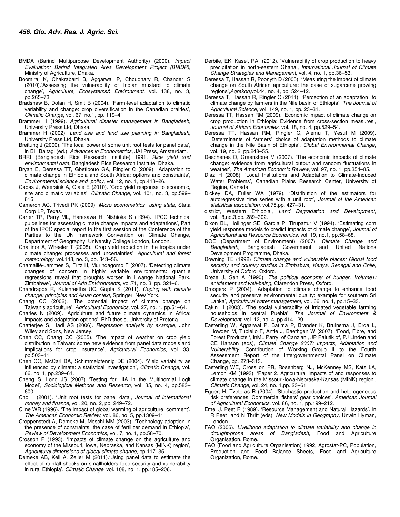- BMDA (Barind Multipurpose Development Authority) (2000). Impact Evaluation: Barind Integrated Area Development Project (BIADP), Ministry of Agriculture, Dhaka.
- Boomiraj K, Chakrabarti B, Aggarwal P, Choudhary R, Chander S (2010).'Assessing the vulnerability of Indian mustard to climate change', Agriculture, Ecosystems& Environment, vol. 138, no. 3, pp.265–73.
- Bradshaw B, Dolan H, Smit B (2004). 'Farm-level adaptation to climatic variability and change: crop diversification in the Canadian prairies', Climatic Change, vol. 67, no.1, pp. 119–41.
- Brammer H (1999). Agricultural disaster management in Bangladesh, University Press Ltd, Dhaka.
- Brammer H (2002). Land use and land use planning in Bangladesh, University Press Ltd, Dhaka.
- Breitung J (2000). 'The local power of some unit root tests for panel data',

in BH Baltagi (ed.), Advances in Econometrics, JAI Press, Amsterdam. BRRI (Bangladesh Rice Research Institute) 1991, Rice yield and

- environmental data, Bangladesh Rice Research Institute, Dhaka. Bryan E, Deressa TT, Gbetibouo GA, Ringler C (2009). 'Adaptation to climate change in Ethiopia and South Africa: options and constraints', Environmental science and policy, vol. 12, no. 4, pp.413–26.
- Cabas J, Weersink A, Olale E (2010). 'Crop yield response to economic, site and climatic variables', Climatic Change, vol. 101, no. 3, pp.599– 616.
- Cameron AC, Trivedi PK (2009). Micro econometrics using stata, Stata Corp LP, Texas.
- Carter TR, Parry ML, Harasawa H, Nishioka S (1994). 'IPCC technical guidelines for assessing climate change impacts and adaptations', Part of the IPCC special report to the first session of the Conference of the Parties to the UN framework Convention on Climate Change, Department of Geography, University College London, London.
- Challinor A, Wheeler T (2008). 'Crop yield reduction in the tropics under climate change: processes and uncertainties', Agricultural and forest meteorology, vol.148, no. 3, pp. 343–56.
- Chamaillé-Jammes S, Fritz H, Murindagomo F (2007). 'Detecting climate changes of concern in highly variable environments: quantile regressions reveal that droughts worsen in Hwange National Park, Zimbabwe', Journal of Arid Environments, vol.71, no. 3, pp. 321–6.
- Chandrappa R, Kulshrestha UC, Gupta S (2011). Coping with climate change: principles and Asian context, Springer, New York.
- Chang CC (2002). 'The potential impact of climate change on Taiwan's agriculture', Agricultural Economics, vol. 27, no. 1, pp.51–64.
- Charles N (2009). 'Agriculture and future climate dynamics in Africa: impacts and adaptation options', PhD thesis, University of Pretoria.
- Chatterjee S, Hadi AS (2006). Regression analysis by example, John Wiley and Sons, New Jersey.
- Chen CC, Chang CC (2005). 'The impact of weather on crop yield distribution in Taiwan: some new evidence from panel data models and implications for crop insurance', Agricultural Economics, vol. 33, pp.503–11.
- Chen CC, McCarl BA, Schimmelpfennig DE (2004). 'Yield variability as influenced by climate: a statistical investigation', Climatic Change, vol. 66, no. 1, pp.239–61.
- Cheng S, Long JS (2007). 'Testing for IIA in the Multinomial Logit Model', Sociological Methods and Research, vol. 35, no. 4, pp.583– 600.
- Choi I (2001). 'Unit root tests for panel data', Journal of international money and finance, vol. 20, no. 2, pp. 249–72.
- Cline WR (1996). 'The impact of global warming of agriculture: comment', The American Economic Review, vol. 86, no. 5, pp.1309–11.
- Croppenstedt A, Demeke M, Meschi MM (2003). 'Technology adoption in the presence of constraints: the case of fertilizer demand in Ethiopia', Review of Development Economics, vol. 7, no. 1, pp.58–70.
- Crosson P (1993). 'Impacts of climate change on the agriculture and economy of the Missouri, Iowa, Nebraska, and Kansas (MINK) region', Agricultural dimensions of global climate change, pp.117–35.
- Demeke AB, Keil A, Zeller M (2011).'Using panel data to estimate the effect of rainfall shocks on smallholders food security and vulnerability in rural Ethiopia', Climatic Change, vol. 108, no. 1, pp.185–206.
- Derbile, EK, Kasei, RA (2012). 'Vulnerability of crop production to heavy precipitation in north-eastern Ghana', International Journal of Climate Change Strategies and Management, vol. 4, no. 1, pp.36–53.
- Deressa T, Hassan R, Poonyth D (2005). 'Measuring the impact of climate change on South African agriculture: the case of sugarcane growing regions',Agrekon,vol.44, no. 4, pp. 524–42.
- Deressa T, Hassan R, Ringler C (2011). 'Perception of an adaptation to climate change by farmers in the Nile basin of Ethiopia', The Journal of Agricultural Science, vol. 149, no. 1, pp. 23–31.
- Deressa TT, Hassan RM (2009). 'Economic impact of climate change on crop production in Ethiopia: Evidence from cross-section measures', Journal of African Economies, vol. 18, no. 4, pp.529–54.
- Deressa TT, Hassan RM, Ringler C, Alemu T, Yesuf M (2009). 'Determinants of farmers' choice of adaptation methods to climate change in the Nile Basin of Ethiopia', Global Environmental Change, vol. 19, no. 2, pp.248–55.
- Deschenes O, Greenstone M (2007). 'The economic impacts of climate change: evidence from agricultural output and random fluctuations in weather', The American Economic Review, vol. 97, no. 1, pp.354-85.
- Diaz H (2008). 'Local Institutions and Adaptation to Climate-Induced Water Problems', Canadian Plains Research Center, University of Regina, Canada.
- Dickey DA, Fuller WA (1979). 'Distribution of the estimators for autoregressive time series with a unit root', Journal of the American statistical association, vol.75,pp. 427–31.
- district, Western Ethiopia', Land Degradation and Development, vol.18,no.3,pp. 289–302.
- Dixon BL, Hollinger SE, Garcia P, Tirupattur V (1994). 'Estimating corn yield response models to predict impacts of climate change', Journal of Agricultural and Resource Economics, vol. 19, no.1, pp.58–68.
- DOE (Department of Environment) (2007). Climate Change and Bangladesh, Bangladesh Government and United Nations Development Programme, Dhaka.
- Downing TE (1992) Climate change and vulnerable places: Global food security and country studies in Zimbabwe, Kenya, Senegal and Chile, University of Oxford, Oxford.
- Dreze J, Sen A (1990). The political economy of hunger. Volume1: entitlement and well-being, Clarendon Press, Oxford.
- Droogers P (2004). 'Adaptation to climate change to enhance food security and preserve environmental quality: example for southern Sri Lanka', Agricultural water management, vol. 66, no. 1, pp.15-33.
- Eakin H (2003). 'The social vulnerability of irrigated vegetable farming households in central Puebla', The Journal of Environment & Development, vol. 12, no. 4, pp.414– 29.
- Easterling W, Aggarwal P, Batima P, Brander K, Bruinsma J, Erda L, Howden M, Tubiello F, Antle J, Baethgen W (2007). 'Food, Fibre, and Forest Products ', inML Parry, of Canziani, JP Palutik of, PJ Linden and CE Hanson (eds), Climate Change 2007: Impacts, Adaptation and Vulnerability. Contribution of Working Group II to the Fourth Assessment Report of the Intergovernmental Panel on Climate Change, pp. 273–313.
- Easterling WE, Cross on PR, Rosenberg NJ, McKenney MS, Katz LA, Lemon KM (1993). 'Paper 2. Agricultural impacts of and responses to climate change in the Missouri-Iowa-Nebraska-Kansas (MINK) region', Climatic Change, vol. 24, no. 1,pp. 23–61.
- Eggert H, Tveteras R (2004). 'Stochastic production and heterogeneous risk preferences: Commercial fishers' gear choices', American Journal of Agricultural Economics, vol. 86, no. 1, pp.199–212.
- Emel J, Peet R (1989). 'Resource Management and Natural Hazards', in R Peet and N Thrift (eds), New Models in Geography, Unwin Hyman, London.
- FAO (2006). Livelihood adaptation to climate variability and change in drought-prone areas of Bangladesh, Food and Agriculture Organisation, Rome.
- FAO (Food and Agriculture Organisation) 1992, Agrostat-PC, Population, Production and Food Balance Sheets, Food and Agriculture Organization, Rome.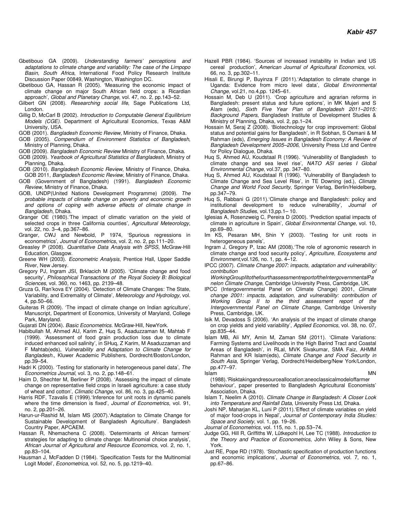- Gbetibouo GA (2009). Understanding farmers' perceptions and adaptations to climate change and variability: The case of the Limpopo Basin, South Africa, International Food Policy Research Institute Discussion Paper 00849, Washington, Washington DC.
- Gbetibouo GA, Hassan R (2005). 'Measuring the economic impact of climate change on major South African field crops: a Ricardian approach', Global and Planetary Change, vol. 47, no. 2, pp.143–52.
- Gilbert GN (2008). Researching social life, Sage Publications Ltd, London.
- Gillig D, McCarl B (2002). Introduction to Computable General Equilibrium Models (CGE). Department of Agricultural Economics, Texas A&M University, USA.
- GOB (2001). Bangladesh Economic Review, Ministry of Finance, Dhaka.
- GOB (2005). Compendium of Environment Statistics of Bangladesh, Ministry of Planning, Dhaka.
- GOB (2009). Bangladesh Economic Review Ministry of Finance, Dhaka.
- GOB (2009). Yearbook of Agricultural Statistics of Bangladesh, Ministry of Planning, Dhaka.
- GOB (2010). Bangladesh Economic Review, Ministry of Finance, Dhaka. GOB 2011, Bangladesh Economic Review, Ministry of Finance, Dhaka.
- GOB (Government of Bangladesh) (1991). Bangladesh Economic Review, Ministry of Finance, Dhaka.
- GOB, UNDP(United Nations Development Programme) (2009). The probable impacts of climate change on poverty and economic growth and options of coping with adverse effects of climate change in Bangladesh, Dhaka.
- Granger OE (1980).'The impact of climatic variation on the yield of selected crops in three California counties', Agricultural Meteorology, vol. 22, no. 3–4, pp.367–86.
- Granger, CWJ and Newbold, P 1974, 'Spurious regressions in econometrics', Journal of Econometrics, vol. 2, no. 2, pp.111–20.
- Greasley P (2008). Quantitative Data Analysis with SPSS, McGraw-Hill Education, Glasgow.
- Greene WH (2003). Econometric Analysis, Prentice Hall, Upper Saddle River, New Jersey.
- Gregory PJ, Ingram JSI, Brklacich M (2005). 'Climate change and food security', Philosophical Transactions of the Royal Society B: Biological Sciences, vol. 360, no. 1463, pp. 2139–48.
- Gruza G, Ran'kova EY (2004). 'Detection of Climate Changes: The State, Variability, and Extremality of Climate', Meteorology and Hydrology, vol. 4, pp.50–66.
- Guiteras R (2009). 'The impact of climate change on Indian agriculture', Manuscript, Department of Economics, University of Maryland, College Park, Maryland.
- Gujarati DN (2004). Basic Econometrics. McGraw-Hill, NewYork.
- Habibullah M, Ahmed AU, Karim Z, Huq S, Asaduzzaman M, Mahtab F (1999). 'Assessment of food grain production loss due to climate induced enhanced soil salinity', in SHuq, Z Karim, M Asaduzzaman and F Mahtab(eds), Vulnerability and Adaptation to Climate Change for Bangladesh., Kluwer Academic Publishers, Dordrecht/Boston/London, pp.39–54.
- Hadri K (2000). 'Testing for stationarity in heterogeneous panel data', The Econometrics Journal, vol. 3, no. 2, pp.148–61.
- Haim D, Shechter M, Berliner P (2008). 'Assessing the impact of climate change on representative field crops in Israeli agriculture: a case study of wheat and cotton', Climatic Change, vol. 86, no. 3, pp.425–40.
- Harris RDF, Tzavalis E (1999). Inference for unit roots in dynamic panels where the time dimension is fixed', Journal of Econometrics, vol. 91, no. 2, pp.201–26.
- Harun-ur-Rashid M, Islam MS (2007).'Adaptation to Climate Change for Sustainable Development of Bangladesh Agriculture'. Bangladesh Country Paper, APCAEM.
- Hassan R, Nhemachena C (2008). 'Determinants of African farmers' strategies for adapting to climate change: Multinomial choice analysis', African Journal of Agricultural and Resource Economics, vol. 2, no. 1, pp.83–104.
- Hausman J, McFadden D (1984). 'Specification Tests for the Multinomial Logit Model', Econometrica, vol. 52, no. 5, pp.1219–40.
- Hazell PBR (1984). 'Sources of increased instability in Indian and US cereal production', American Journal of Agricultural Economics, vol. 66, no. 3, pp.302–11.
- Hisali E, Birungi P, Buyinza F (2011).'Adaptation to climate change in Uganda: Evidence from micro level data', Global Environmental Change, vol.21, no.4,pp. 1245–61.
- Hossain M, Deb U (2011). 'Crop agriculture and agrarian reforms in Bangladesh: present status and future options', in MK Mujeri and S Alam (eds), Sixth Five Year Plan of Bangladesh 2011–2015: Background Papers, Bangladesh Institute of Development Studies & Ministry of Planning, Dhaka, vol. 2, pp.1–24.
- Hossain M, Seraj Z (2008). 'Biotechnology for crop improvement: Global status and potential gains for Bangladesh', in R Sobhan, S Osmani & M Rahman (eds), Emerging Issues in Bangladesh Economy: A Review of Bangladesh Development 2005–2006, University Press Ltd and Centre for Policy Dialogue, Dhaka.
- Huq S, Ahmed AU, Koudstaal R (1996). 'Vulnerability of Bangladesh to climate change and sea level rise', NATO ASI series I Global Environmental Change, vol.37, pp. 347–80.
- Huq S, Ahmed AU, Koudstaal R (1996). 'Vulnerability of Bangladesh to Climate Change and Sea Level Rise', in TE Downing (ed.), Climate Change and World Food Security, Springer Verlag, Berlin/Heidelberg, pp.347–79.
- Huq S, Rabbani G (2011).'Climate change and Bangladesh: policy and institutional development to reduce vulnerability', Journal of Bangladesh Studies, vol.13,pp.1– 10.
- Iglesias A, Rosenzweig C, Pereira D (2000). 'Prediction spatial impacts of climate in agriculture in Spain', Global Environmental Change, vol. 10, pp.69–80.
- Im KS, Pesaran MH, Shin Y (2003). 'Testing for unit roots in heterogeneous panels',
- Ingram J, Gregory P, Izac AM (2008).'The role of agronomic research in climate change and food security policy', Agriculture, Ecosystems and Environment,vol.126, no. 1, pp. 4–12.
- IPCC (2007). Climate Change 2007: impacts, adaptation and vulnerability: contribution of the contribution of the contribution of the contribution of the contribution of the contribution of the contribution of the contribution of the contribution of the contribution of the contribution of the co WorkingGroupIItothefourthassessmentreportoftheIntergovernmentalPa

nelon Climate Change, Cambridge University Press, Cambridge, UK.

- IPCC (Intergovernmental Panel on Climate Change) 2001, Climate change 2001: impacts, adaptation, and vulnerability: contribution of Working Group II to the third assessment report of the Intergovernmental Panel on Climate Change, Cambridge University Press, Cambridge, UK.
- Isik M, Devadoss S (2006). 'An analysis of the impact of climate change on crop yields and yield variability', Applied Economics, vol. 38, no. 07, pp.835–44.
- Islam MB, Ali MY, Amin M, Zaman SM (2011). 'Climate Variations: Farming Systems and Livelihoods in the High Barind Tract and Coastal Areas of Bangladesh', in RLal, MVK Sivakumar, SMA Faiz, AHMM Rahman and KR Islam(eds), Climate Change and Food Security in South Asia, Springer Verlag, Dordrecht/Heidelberg/New York/London, pp.477–97.
	-

Islam MN (1988).'Risktakingandresourceallocation:aneoclassicalmodeloffarmer behaviour', paper presented to Bangladesh Agricultural Economists' Association, Dhaka.

- Islam T, Neelim A (2010). Climate Change in Bangladesh: A Closer Look into Temperature and Rainfall Data, University Press Ltd, Dhaka.
- Joshi NP, Maharjan KL, Luni P (2011).'Effect of climate variables on yield of major food-crops in Nepal', Journal of Contemporary India Studies: Space and Society, vol. 1, pp. 19-26.
- Journal of Econometrics, vol. 115, no. 1, pp.53–74.
- Judge GG, Hill R, Griffiths W, Lütkepohl H, Lee TC (1988). Introduction to the Theory and Practice of Econometrics, John Wiley & Sons, New York.
- Just RE, Pope RD (1978). 'Stochastic specification of production functions and economic implications', Journal of Econometrics, vol. 7, no. 1, pp.67–86.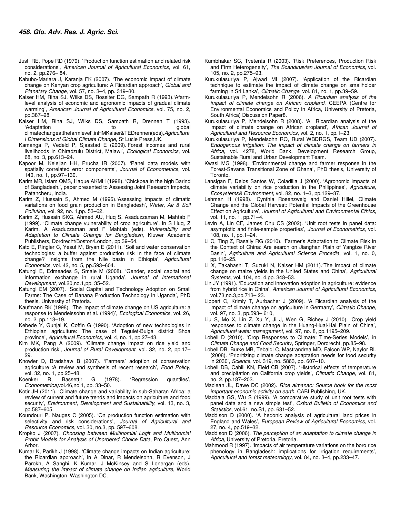- Just RE, Pope RD (1979). 'Production function estimation and related risk considerations', American Journal of Agricultural Economics, vol. 61, no. 2, pp.276– 84.
- Kabubo-Mariara J, Karanja FK (2007). 'The economic impact of climate change on Kenyan crop agriculture: A Ricardian approach', Global and Planetary Change, vol. 57, no. 3–4, pp. 319–30.
- Kaiser HM, Riha SJ, Wilks DS, Rossiter DG, Sampath R (1993).'Afarmlevel analysis of economic and agronomic impacts of gradual climate warming', American Journal of Agricultural Economics, vol. 75, no. 2, pp.387–98.
- Kaiser HM, Riha SJ, Wilks DS, Sampath R, Drennen T (1993). Adaptation to to the global climatechangeatthefarmlevel',inHMKaiser&TEDrennen(eds),Agricultura
- l Dimensions of Global Climate Change, St Lucie Press,UK. Kamanga P, Vedeld P, Sjaastad E (2009).'Forest incomes and rural livelihoods in Chiradzulu District, Malawi', Ecological Economics, vol. 68, no. 3, pp.613–24.
- Kapoor M, Kelejian HH, Prucha IR (2007). 'Panel data models with spatially correlated error components', Journal of Econometrics, vol. 140, no. 1, pp.97–130.
- Karim MR, Islam QMS, Haque AKMH (1998). 'Chickpea in the high Barind of Bangladesh.', paper presented to Assessing Joint Research Impacts, Patancheru, India.
- Karim Z, Hussain S, Ahmed M (1996).'Assessing impacts of climatic variations on food grain production in Bangladesh', Water, Air & Soil Pollution, vol. 92, no. 1,pp. 53–62.
- Karim Z, Hussain SKG, Ahmed AU, Huq S, Asaduzzaman M, Mahtab F (1999). 'Climate change vulnerability of crop agriculture', in S Huq, Z Karim, A Asaduzzaman and F Mahtab (eds), Vulnerability and Adaptation to Climate Change for Bangladesh, Kluwer Academic Publishers, Dordrecht/Boston/London, pp.39–54.
- Kato E, Ringler C, Yesuf M, Bryan E (2011). 'Soil and water conservation technologies: a buffer against production risk in the face of climate change? Insights from the Nile basin in Ethiopia', Agricultural Economics, vol. 42, no. 5, pp.593–604.
- Katungi E, Edmeades S, Smale M (2008). 'Gender, social capital and information exchange in rural Uganda', Journal of International Development, vol.20,no.1,pp. 35–52.
- Katungi EM (2007). 'Social Capital and Technology Adoption on Small Farms: The Case of Banana Production Technology in Uganda', PhD thesis, University of Pretoria.
- Kaufmann RK (1998). 'The impact of climate change on US agriculture: a response to Mendelssohn et al. (1994)', Ecological Economics, vol. 26, no. 2, pp.113–19.
- Kebede Y, Gunjal K, Coffin G (1990). 'Adoption of new technologies in Ethiopian agriculture: The case of Tegulet-Bulga district Shoa province', Agricultural Economics, vol. 4, no. 1, pp.27–43.
- Kim MK, Pang A (2009). 'Climate change impact on rice yield and production risk', Journal of Rural Development, vol. 32, no. 2, pp.17– 29.
- Knowler D, Bradshaw B (2007). 'Farmers' adoption of conservation agriculture :A review and synthesis of recent research', Food Policy, vol. 32, no. 1, pp.25–48.
- Koenker R, Bassettjr G (1978). 'Regression quantiles', Econometrica,vol.46,no.1, pp. 33–50.
- Kotir JH (2011). 'Climate change and variability in sub-Saharan Africa: a review of current and future trends and impacts on agriculture and food security', Environment, Development and Sustainability, vol. 13, no. 3, pp.587–605.
- Koundouri P, Nauges C (2005). 'On production function estimation with selectivity and risk considerations', Journal of Agricultural and Resource Economics, vol. 30, no.3, pp. 597–608.
- Kropko J (2007). Choosing between Multinomial Logit and Multinomial Probit Models for Analysis of Unordered Choice Data, Pro Quest, Ann Arbor.
- Kumar K, Parikh J (1998). 'Climate change impacts on Indian agriculture: the Ricardian approach', in A Dinar, R Mendelsohn, R Evenson, J Parokh, A Sanghi, K Kumar, J McKinsey and S Lonergan (eds), Measuring the impact of climate change on Indian agriculture, World Bank, Washington, Washington DC.
- Kumbhakar SC, Tveterås R (2003). 'Risk Preferences, Production Risk and Firm Heterogeneity', The Scandinavian Journal of Economics, vol. 105, no. 2, pp.275–93.
- Kurukulasuriya P, Ajwad MI (2007). 'Application of the Ricardian technique to estimate the impact of climate change on smallholder farming in Sri Lanka', Climatic Change, vol. 81, no. 1, pp.39-59.
- Kurukulasuriya P, Mendelsohn R (2006). A Ricardian analysis of the impact of climate change on African cropland, CEEPA (Centre for Environmental Economics and Policy in Africa, University of Pretoria, South Africa) Discussion Paper8.
- Kurukulasuriya P, Mendelsohn R (2008). 'A Ricardian analysis of the impact of climate change on African cropland', African Journal of Agricultural and Resource Economics, vol. 2, no. 1, pp.1–23.
- Kurukulasuriya P, Mendelsohn RO, Rural WBDRGS, Team UD (2007). Endogenous irrigation: The impact of climate change on farmers in Africa, vol. 4278, World Bank, Development Research Group, Sustainable Rural and Urban Development Team.
- Kwasi MG (1998). 'Environmental change and farmer response in the Forest-Savana Transitional Zone of Ghana', PhD thesis, University of Toronto.
- Lansigan F, Delos Santos W, Coladilla J (2000). 'Agronomic impacts of climate variability on rice production in the Philippines', Agriculture, Ecosystems& Environment, vol. 82, no. 1–3, pp.129–37.
- Lehman H (1998). 'Cynthia Rosenzweig and Daniel Hillel, Climate Change and the Global Harvest: Potential Impacts of the Greenhouse Effect on Agriculture', Journal of Agricultural and Environmental Ethics, vol. 11, no. 1, pp.71–4.
- Levin A, Lin CF, James Chu CS (2002). 'Unit root tests in panel data: asymptotic and finite-sample properties', Journal of Econometrics, vol. 108, no. 1, pp.1–24.
- Li C, Ting Z, Rasaily RG (2010). 'Farmer's Adaptation to Climate Risk in the Context of China: Are search on Jianghan Plain of Yangtze River Basin', Agriculture and Agricultural Science Procedia, vol. 1, no. 0, pp.116–25.
- Li X, Takahashi T, Suzuki N, Kaiser HM (2011).'The impact of climate change on maize yields in the United States and China', Agricultural Systems, vol. 104, no. 4,pp. 348–53.
- Lin JY (1991). 'Education and innovation adoption in agriculture: evidence from hybrid rice in China', American Journal of Agricultural Economics, vol.73,no.3,pp.713– 23.
- Lippert C, Krimly T, Aurbacher J (2009). 'A Ricardian analysis of the impact of climate change on agriculture in Germany', Climatic Change, vol. 97, no. 3, pp.593– 610,
- Liu S, Mo X, Lin Z, Xu Y, Ji J, Wen G, Richey J (2010). 'Crop yield responses to climate change in the Huang-Huai-Hai Plain of China', Agricultural water management, vol. 97, no. 8, pp.1195–209.
- Lobell D (2010). 'Crop Responses to Climate: Time-Series Models', in Climate Change and Food Security, Springer, Dordrecht, pp.85–98.
- Lobell DB, Burke MB, Tebaldi C, Mastrandrea MD, Falcon WP, Naylor RL (2008). 'Prioritizing climate change adaptation needs for food security in 2030', Science, vol. 319, no. 5863, pp. 607–10.
- Lobell DB, Cahill KN, Field CB (2007). 'Historical effects of temperature and precipitation on California crop yields', Climatic Change, vol. 81, no. 2, pp.187–203.
- Maclean JL, Dawe DC (2002). Rice almanac: Source book for the most important economic activity on earth, CABI Publishing, UK.
- Maddala GS, Wu S (1999). 'A comparative study of unit root tests with panel data and a new simple test', Oxford Bulletin of Economics and Statistics, vol.61, no.S1, pp. 631–52.
- Maddison D (2000). 'A hedonic analysis of agricultural land prices in England and Wales', European Review of Agricultural Economics, vol. 27, no. 4, pp.519–32.
- Maddison D (2006). The perception of an adaptation to climate change in Africa, University of Pretoria, Pretoria.
- Mahmood R (1997). 'Impacts of air temperature variations on the boro rice phenology in Bangladesh: implications for irrigation requirements', Agricultural and forest meteorology, vol. 84, no. 3–4, pp.233–47.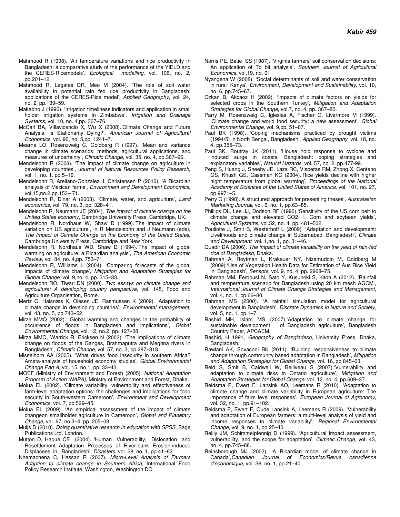- Mahmood R (1998). 'Air temperature variations and rice productivity in Bangladesh: a comparative study of the performance of the YIELD and the CERES-Ricemodels', Ecological modelling, vol. 106, no. 2, pp.201–12.
- Mahmood R, Legates DR, Meo M (2004). 'The role of soil water availability in potential rain fed rice productivity in Bangladesh: applications of the CERES-Rice model', Applied Geography, vol. 24, no. 2, pp.139–59.
- Makadho J (1996). 'Irrigation timeliness indicators and application in small holder irrigation systems in Zimbabwe', Irrigation and Drainage Systems, vol. 10, no. 4,pp. 367–76.
- McCarl BA, Villavicencio X, Wu X (2008).'Climate Change and Future Analysis: Is Stationarity Dying?', American Journal of Agricultural Economics, vol. 90, no. 5,pp. 1241–7.
- Mearns LO, Rosenzweig C, Goldberg R (1997). 'Mean and variance change in climate scenarios: methods, agricultural applications, and measures of uncertainty', Climatic Change, vol. 35, no. 4, pp.367–96.
- Mendelsohn R (2008). 'The impact of climate change on agriculture in developing countries', Journal of Natural Resources Policy Research, vol. 1, no. 1, pp.5–19.
- Mendelsohn R, Arellano-Gonzalez J, Christensen P (2010). 'A Ricardian analysis of Mexican farms', Environment and Development Economics, vol.15,no.2,pp.153– 71.
- Mendelsohn R, Dinar A (2003). 'Climate, water, and agriculture', Land economics, vol. 79, no. 3, pp. 328–41.
- Mendelsohn R, Neumann JE (2004). The impact of climate change on the United States economy, Cambridge University Press, Cambridge, UK.
- Mendelsohn R, Nordhaus W, Shaw D (1999).'The impact of climate variation on US agriculture', in R Mendelsohn and J Neumann (eds), The Impact of Climate Change on the Economy of the United States, Cambridge University Press, Cambridge and New York.
- Mendelsohn R, Nordhaus WD, Shaw D (1994).'The impact of global warming on agriculture: a Ricardian analysis', The American Economic Review, vol. 84, no. 4,pp. 753–71.
- Mendelsohn R, Williams L (2004). 'Comparing forecasts of the global impacts of climate change', Mitigation and Adaptation Strategies for Global Change, vol. 9,no. 4, pp. 315–33.
- Mendelsohn RO, Tiwari DN (2000). Two essays on climate change and agriculture: A developing country perspective, vol. 145, Food and Agriculture Organisation, Rome.
- Mertz O, Halsnæs K, Olesen JE, Rasmussen K (2009). 'Adaptation to climate change in developing countries', Environmental management, vol. 43, no. 5, pp.743–52.
- Mirza MMQ (2002). 'Global warming and changes in the probability of occurrence of floods in Bangladesh and implications', Global Environmental Change, vol. 12, no.2, pp. 127–38.
- Mirza MMQ, Warrick R, Ericksen N (2003). 'The implications of climate change on floods of the Ganges, Brahmaputra and Meghna rivers in Bangladesh', Climatic Change, vol. 57, no. 3, pp.287–318.
- Misselhorn AA (2005). 'What drives food insecurity in southern Africa? Ameta-analysis of household economy studies', Global Environmental Change Part A, vol. 15, no.1, pp. 33–43.
- MOEF (Ministry of Environment and Forest) (2005). National Adaptation Program of Action (NAPA), Ministry of Environment and Forest, Dhaka.
- Molua EL (2002). 'Climate variability, vulnerability and effectiveness of farm-level adaptation options: the challenges and implications for food security in South-western Cameroon', Environment and Development Economics, vol. 7, pp.529–45.
- Molua EL (2009). 'An empirical assessment of the impact of climate changeon smallholder agriculture in Cameroon', Global and Planetary Change, vol. 67, no.3–4, pp. 205–08.
- Muijs D (2010). Doing quantitative research in education with SPSS, Sage Publications Ltd, London.
- Mutton D, Haque CE (2004). 'Human Vulnerability, Dislocation and Resettlement: Adaptation Processes of River‐bank Erosion‐induced Displacees in Bangladesh', *Disasters*, vol. 28, no. 1, pp.41–62.
- Nhemachena C, Hassan R (2007). Micro-Level Analysis of Farmers Adaption to climate change in Southern Africa, International Food Policy Research Institute, Washington, Washington DC.
- Norris PE, Batie SS (1987). 'Virginia farmers' soil conservation decisions: An application of To bit analysis', Southern Journal of Agricultural Economics, vol.19, no. 01.
- Nyangena W (2008). 'Social determinants of soil and water conservation in rural Kenya', Environment, Development and Sustainability, vol. 10, no. 6, pp.745–67.
- Ozkan B, Akcaoz H (2002). 'Impacts of climate factors on yields for selected crops in the Southern Turkey', Mitigation and Adaptation Strategies for Global Change, vol.7, no. 4, pp. 367–80.
- Parry M, Rosenzweig C, Iglesias A, Fischer G, Livermore M (1999). 'Climate change and world food security: a new assessment', Global Environmental Change, vol. 9,pp. 51–67.
- Paul BK (1998). 'Coping mechanisms practiced by drought victims (1994/5) in North Bengal, Bangladesh', Applied Geography, vol. 18, no. 4, pp.355–73.
- Paul SK, Routray JK (2011). 'House hold response to cyclone and induced surge in coastal Bangladesh: coping strategies and explanatory variables', Natural Hazards, vol. 57, no. 2, pp.477-99.
- Peng S, Huang J, Sheehy JE, Laza RC, Visperas RM, Zhong X, Centeno GS, Khush GS, Cassman KG (2004).'Rice yields decline with higher night temperature from global warming', Proceedings of the National Academy of Sciences of the United States of America, vol. 101, no. 27, pp.9971–5.
- Perry C (1998).'A structured approach for presenting theses', Australasian Marketing Journal, vol. 6, no. 1, pp.63–85.
- Phillips DL, Lee JJ, Dodson RF (1996).'Sensitivity of the US corn belt to climate change and elevated CO2: I. Corn and soybean yields', Agricultural Systems, vol.52, no. 4, pp. 481–502.
- Pouliotte J, Smit B, Westerhoff L (2009). 'Adaptation and development: Livelihoods and climate change in Subarnabad, Bangladesh', Climate and Development, vol. 1,no. 1, pp. 31–46.
- Quadir DA (2006). The impact of climate variability on the yield of rain-fed rice of Bangladesh, Dhaka.
- Rahman A, Roytman L, Krakauer NY, Nizamuddin M, Goldberg M (2009).'Use of Vegetation Health Data for Estimation of Aus Rice Yield in Bangladesh', Sensors, vol. 9, no. 4, pp. 2968-75.
- Rahman MM, Ferdousi N, Sato Y, Kusunoki S, Kitoh A (2012). 'Rainfall and temperature scenario for Bangladesh using 20 km mesh AGCM', International Journal of Climate Change Strategies and Management, vol. 4, no. 1, pp.66–80.
- Rahman MS (2000). 'A rainfall simulation model for agricultural development in Bangladesh', Discrete Dynamics in Nature and Society, vol. 5, no. 1, pp.1–7.
- Rashid MH, Islam MS (2007).'Adaptation to climate change for sustainable development of Bangladesh agriculture', Bangladesh Country Paper, APCAEM.
- Rashid, H 1991, Geography of Bangladesh, University Press, Dhaka, Bangladesh.
- Rawlani AK, Sovacool BK (2011). 'Building responsiveness to climate change through community based adaptation in Bangladesh', Mitigation and Adaptation Strategies for Global Change, vol. 16, pp.845–63.
- Reid S, Smit B, Caldwell W, Belliveau S (2007).'Vulnerability and adaptation to climate risks in Ontario agriculture', Mitigation and Adaptation Strategies for Global Change, vol. 12, no. 4, pp.609–37.
- Reidsma P, Ewert F, Lansink AO, Leemans R (2010). 'Adaptation to climate change and climate variability in European agriculture: The importance of farm level responses', European Journal of Agronomy, vol. 32, no. 1, pp.91–102.
- Reidsma P, Ewert F, Oude Lansink A, Leemans R (2009). 'Vulnerability and adaptation of European farmers: a multi-level analysis of yield and income responses to climate variability', Regional Environmental Change, vol. 9, no. 1, pp.25–40.
- Reilly JM, Schimmelpfennig D (1999). 'Agricultural impact assessment, vulnerability, and the scope for adaptation', Climatic Change, vol. 43, no. 4, pp.745–88.
- Reinsborough MJ (2003). 'A Ricardian model of climate change in Canada',Canadian Journal of Economics/Revue canadienne d'économique, vol. 36, no. 1, pp.21–40.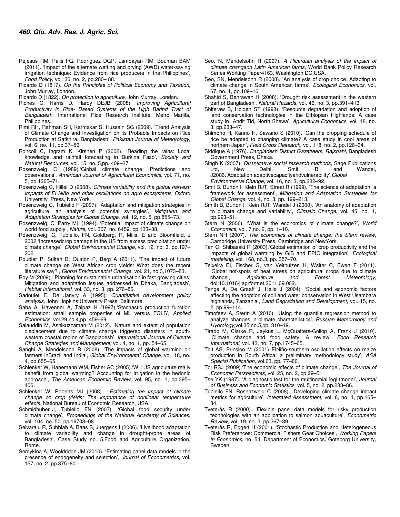- Rejesus RM, Palis FG, Rodriguez DGP, Lampayan RM, Bouman BAM (2011). 'Impact of the alternate wetting and drying (AWD) water-saving irrigation technique: Evidence from rice producers in the Philippines', Food Policy, vol. 36, no. 2, pp.280– 88.
- Ricardo D (1817). On the Principles of Political Economy and Taxation, John Murray, London.
- Ricardo D (1822). On protection to agriculture, John Murray, London.
- Riches C, Harris D, Hardy DEJB (2008). Improving Agricultural Productivity in Rice- Based Systems of the High Barind Tract of Bangladesh, International Rice Research Institute, Metro Manila, **Philinnines**
- Rimi RH, Rahman SH, Karmakar S, Hussain SG (2009). 'Trend Analysis of Climate Change and Investigation on its Probable Impacts on Rice Production at Satkhira, Bangladesh', Pakistan Journal of Meteorology, vol. 6, no. 11, pp.37–50.
- Roncoli C, Ingram K, Kirshen P (2002). 'Reading the rains: Local knowledge and rainfall forecasting in Burkina Faso', Society and Natural Resources, vol. 15, no. 5,pp. 409–27.
- Rosenzweig C (1989).'Global climate change: Predictions and observations', American Journal of Agricultural Economics, vol. 71, no. 5, pp.1265–71.
- Rosenzweig C, Hillel D (2008). Climate variability and the global harvest: impacts of El Niño and other oscillations on agro ecosystems, Oxford University Press, New York.
- Rosenzweig C, Tubiello F (2007). 'Adaptation and mitigation strategies in agriculture: an analysis of potential synergies', Mitigation and Adaptation Strategies for Global Change, vol. 12, no. 5, pp.855–73.
- Rosenzweig, C, Parry ML (1994). 'Potential impact of climate change on world food supply', Nature, vol. 367, no. 6459, pp.133–38.
- Rosenzweig, C, Tubiello, FN, Goldberg, R, Mills, E and Bloomfield, J 2002,'Increasedcrop damage in the US from excess precipitation under climate change', Global Environmental Change, vol. 12, no. 3, pp.197– 202.
- Roudier P, Sultan B, Quirion P, Berg A (2011). 'The impact of future climate change on West African crop yields: What does the recent literature say?', Global Environmental Change, vol. 21, no.3,1073-83.
- Roy M (2009). 'Planning for sustainable urbanisation in fast growing cities: Mitigation and adaptation issues addressed in Dhaka, Bangladesh', Habitat International, vol. 33, no. 3, pp. 276–86.
- Sadoulet E, De Janvry A (1995). Quantitative development policy analysis, John Hopkins University Press, Baltimore.
- Saha A, Havenner A, Talpaz H (1997).'Stochastic production function estimation: small sample properties of ML versus FGLS', Applied Economics, vol.29,no.4,pp. 459–69.
- Salauddin M, Ashikuzzaman M (2012). 'Nature and extent of population displacement due to climate change triggered disasters in southwestern coastal region of Bangladesh', International Journal of Climate Change Strategies and Management, vol. 4, no. 1, pp. 54–65.
- Sanghi A, Mendelsohn R (2008). 'The impacts of global warming on farmers inBrazil and India', Global Environmental Change, vol. 18, no. 4, pp.655–65.
- Schlenker W, Hanemann WM, Fisher AC (2005).'Will US agriculture really benefit from global warming? Accounting for irrigation in the hedonic approach', The American Economic Review, vol. 95, no. 1, pp.395– 406.
- Schlenker W, Roberts MJ (2008). Estimating the impact of climate change on crop yields: The importance of nonlinear temperature effects, National Bureau of Economic Research, USA.
- Schmidhuber J, Tubiello FN (2007). 'Global food security under climate change', Proceedings of the National Academy of Sciences, vol. 104, no. 50, pp.19703–08
- Selvaraju R, Subbiah A, Baas S, Juergens I (2006). 'Livelihood adaptation to climate variability and change in drought-prone areas of Bangladesh', Case Study no. 5,Food and Agriculture Organization, Rome.
- Semykina A, Wooldridge JM (2010). 'Estimating panel data models in the presence of endogeneity and selection', Journal of Econometrics, vol. 157, no. 2, pp.375–80.
- Seo, N, Mendelsohn R (2007). A Ricardian analysis of the impact of climate changeon Latin American farms, World Bank Policy Research Series Working Paper4163, Washington DC,USA.
- Seo, SN, Mendelsohn R (2008). 'An analysis of crop choice: Adapting to climate change in South American farms', Ecological Economics, vol. 67, no. 1, pp.109–16.
- Shahid S, Behrawan H (2008). 'Drought risk assessment in the western part of Bangladesh', Natural Hazards, vol. 46, no. 3, pp.391–413.
- Shiferaw B, Holden ST (1998). 'Resource degradation and adoption of land conservation technologies in the Ethiopian Highlands: A case study in Andit Tid, North Shewa', Agricultural Economics, vol. 18, no. 3, pp.233–47.
- Shimono H, Kanno H, Sawano S (2010). 'Can the cropping schedule of rice be adapted to changing climate? A case study in cool areas of northern Japan', Field Crops Research, vol. 118, no. 2, pp.126–34.
- Siddique A (1976). Bangladesh District Gazetteers, Rajshahi, Bangladesh Government Press, Dhaka.
- Singh K (2007). Quantitative social research methods, Sage Publications<br>Ltd. New Delhi. Smit. B and Wandel. Smit, B and Wandel, J2006, 'Adaptation, adaptivecapacityandvulnerability', Global Environmental Change, vol. 16, no. 3, pp.282–92.
- Smit B, Burton I, Klein RJT, Street R (1999). 'The science of adaptation: a framework for assessment', Mitigation and Adaptation Strategies for Global Change, vol. 4, no. 3, pp. 199–213.
- Smith B, Burton I, Klein RJT, Wandel J (2000). 'An anatomy of adaptation to climate change and variability', Climatic Change, vol. 45, no. 1, pp.223–51.
- Stern N (2006). 'What is the economics of climate change?', World Economics, vol. 7,no. 2, pp. 1–10.
- Stern NH (2007). The economics of climate change: the Stern review, Cambridge University Press, Cambridge and NewYork.
- Tan G, Shibasaki R (2003).'Global estimation of crop productivity and the impacts of global warming by GIS and EPIC integration', Ecological modelling, vol. 168, no.3, pp. 357–70.
- Teixeira EI, Fischer G, van Velthuizen H, Walter C, Ewert F (2011). 'Global hot-spots of heat stress on agricultural crops due to climate change', Agricultural and Forest Meteorology, doi:10.1016/j.agrformet.2011.09.002.
- Tenge A, De Graaff J, Hella J (2004). 'Social and economic factors affecting the adoption of soil and water conservation in West Usambara highlands, Tanzania', Land Degradation and Development, vol. 15, no. 2, pp.99–114.
- Timofeev A, Sterin A (2010). 'Using the quantile regression method to analyze changes in climate characteristics', Russian Meteorology and Hydrology,vol.35,no.5,pp. 310–19.
- Tirado M, Clarke R, Jaykus L, McQuatters-Gollop A, Frank J (2010). 'Climate change and food safety: A review', Food Research International, vol. 43, no. 7, pp.1745–65.
- Toit AS, Prinsloo M (2001).'ElNiño-southern oscillation effects on maize production in South Africa: a preliminary methodology study', ASA Special Publication, vol.63, pp. 77–86.
- Tol RSJ (2009).'The economic effects of climate change', The Journal of Economic Perspectives, vol. 23, no. 2, pp.29–51.
- Tse YK (1987). 'A diagnostic test for the multinomial logi tmodel', Journal of Business and Economic Statistics, vol. 5, no. 2, pp.283–86.
- Tubiello FN, Rosenzweig C (2008). 'Developing climate change impact metrics for agriculture', Integrated Assessment, vol. 8, no. 1, pp.165-84.
- Tveterås R (2000). 'Flexible panel data models for risky production technologies with an application to salmon aquaculture', Econometric Review, vol. 19, no. 3, pp.367–89.
- Tveterås R, Eggert H (2001). 'Stochastic Production and Heterogeneous Risk Preferences: Commercial Fishers Gear Choices', Working Papers in Economics, no. 54, Department of Economics, Goteborg University, Sweden.